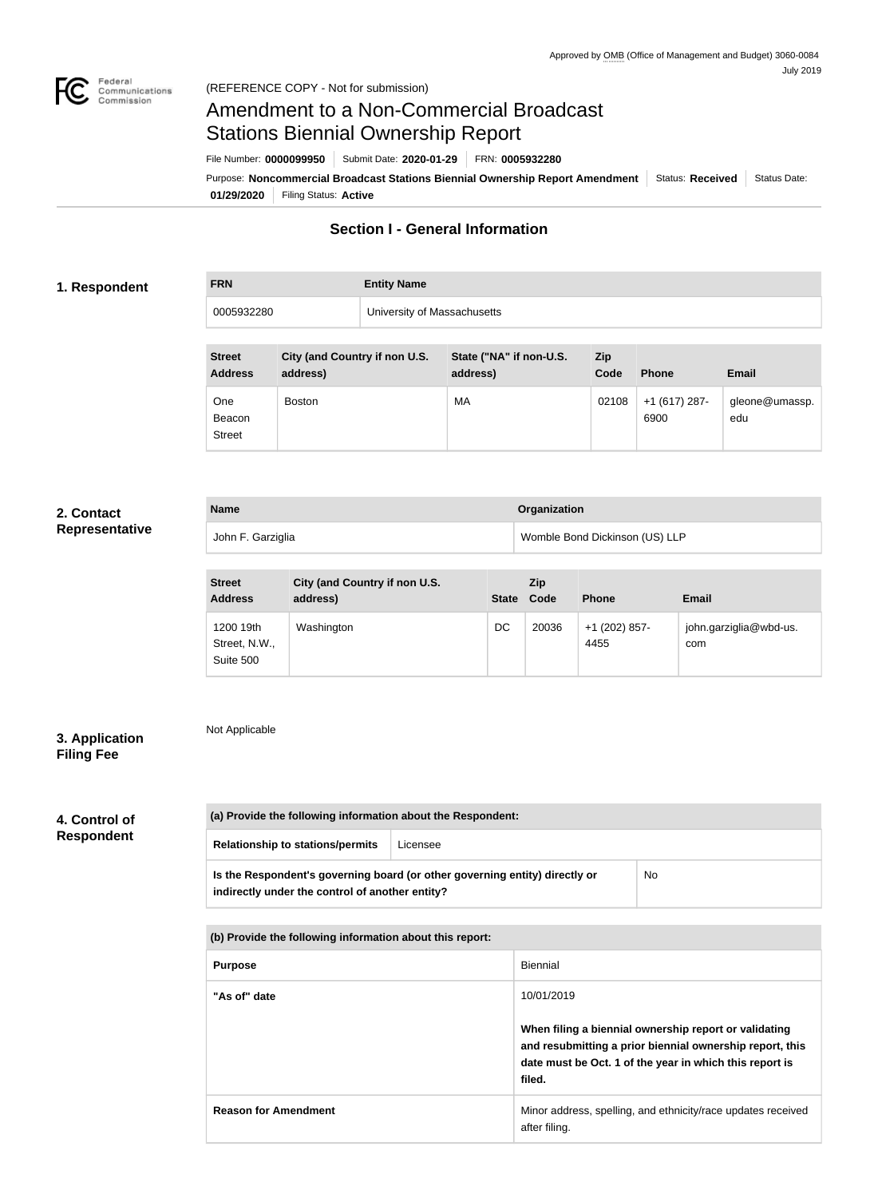

# Amendment to a Non-Commercial Broadcast Stations Biennial Ownership Report

Purpose: Noncommercial Broadcast Stations Biennial Ownership Report Amendment Status: Received Status Date: File Number: **0000099950** Submit Date: **2020-01-29** FRN: **0005932280**

**01/29/2020** Filing Status: **Active**

## **Section I - General Information**

### **1. Respondent**

**FRN Entity Name** 0005932280 University of Massachusetts

| <b>Street</b><br><b>Address</b> | City (and Country if non U.S.<br>address) | State ("NA" if non-U.S.<br>address) | Zip<br>Code | <b>Phone</b>            | <b>Email</b>          |
|---------------------------------|-------------------------------------------|-------------------------------------|-------------|-------------------------|-----------------------|
| One<br>Beacon<br><b>Street</b>  | <b>Boston</b>                             | MA                                  | 02108       | $+1$ (617) 287-<br>6900 | gleone@umassp.<br>edu |

### **2. Contact Representative**

| <b>Name</b>       | Organization                   |
|-------------------|--------------------------------|
| John F. Garziglia | Womble Bond Dickinson (US) LLP |

| <b>Street</b><br><b>Address</b>         | City (and Country if non U.S.<br>address) | <b>State</b> | Zip<br>Code | <b>Phone</b>          | <b>Email</b>                  |
|-----------------------------------------|-------------------------------------------|--------------|-------------|-----------------------|-------------------------------|
| 1200 19th<br>Street, N.W.,<br>Suite 500 | Washington                                | DC           | 20036       | +1 (202) 857-<br>4455 | john.garziglia@wbd-us.<br>com |

### **3. Application Filing Fee**

Not Applicable

## **4. Control of Respondent**

**(a) Provide the following information about the Respondent: Relationship to stations/permits** Licensee **Is the Respondent's governing board (or other governing entity) directly or indirectly under the control of another entity?** No

**(b) Provide the following information about this report:**

| <b>Purpose</b>              | Biennial                                                                                                                                                                               |
|-----------------------------|----------------------------------------------------------------------------------------------------------------------------------------------------------------------------------------|
| "As of" date                | 10/01/2019                                                                                                                                                                             |
|                             | When filing a biennial ownership report or validating<br>and resubmitting a prior biennial ownership report, this<br>date must be Oct. 1 of the year in which this report is<br>filed. |
| <b>Reason for Amendment</b> | Minor address, spelling, and ethnicity/race updates received<br>after filing.                                                                                                          |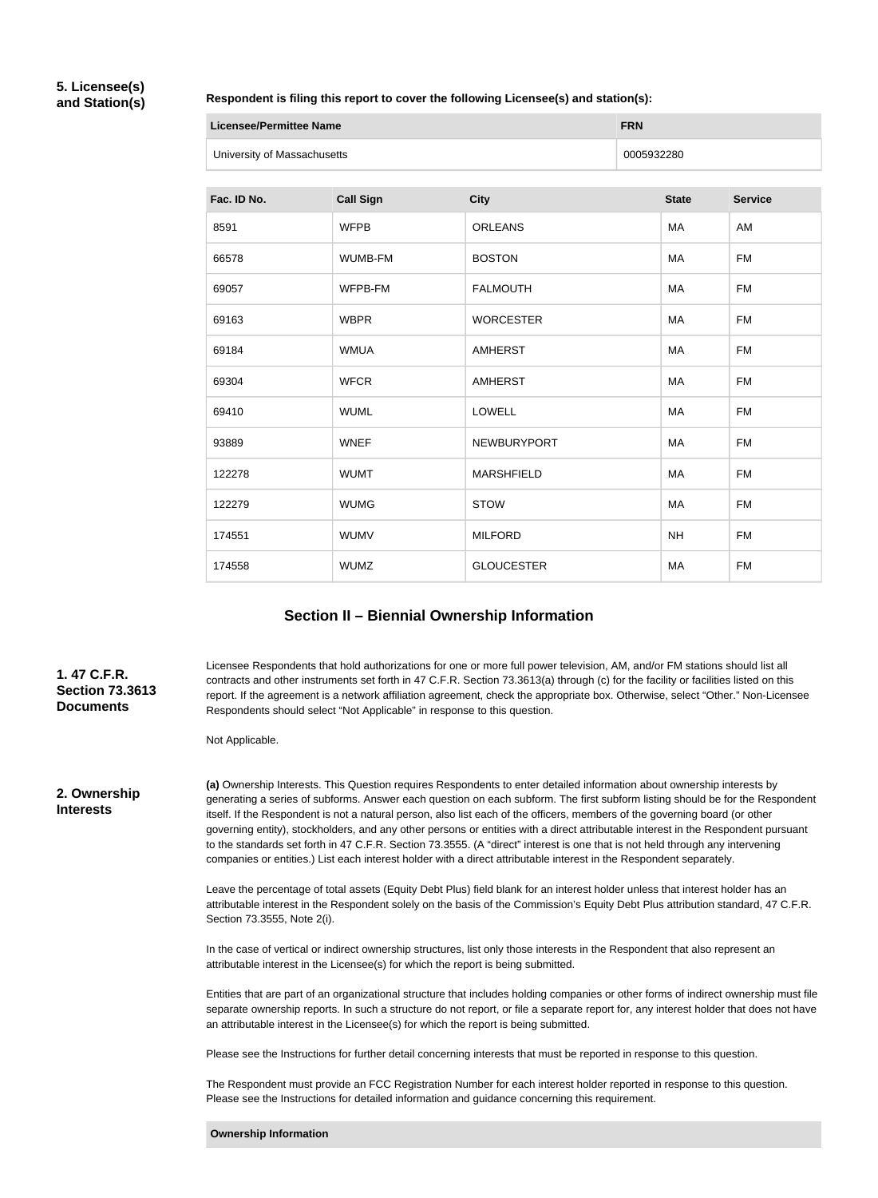### **5. Licensee(s) and Station(s)**

**Respondent is filing this report to cover the following Licensee(s) and station(s):**

| Licensee/Permittee Name     | <b>FRN</b> |
|-----------------------------|------------|
| University of Massachusetts | 0005932280 |

| Fac. ID No. | <b>Call Sign</b> | <b>City</b>        | <b>State</b> | <b>Service</b> |
|-------------|------------------|--------------------|--------------|----------------|
| 8591        | <b>WFPB</b>      | <b>ORLEANS</b>     | MA           | AM             |
| 66578       | WUMB-FM          | <b>BOSTON</b>      | MA           | <b>FM</b>      |
| 69057       | WFPB-FM          | <b>FALMOUTH</b>    | <b>MA</b>    | <b>FM</b>      |
| 69163       | <b>WBPR</b>      | <b>WORCESTER</b>   | MA           | <b>FM</b>      |
| 69184       | <b>WMUA</b>      | <b>AMHERST</b>     | MA           | <b>FM</b>      |
| 69304       | <b>WFCR</b>      | <b>AMHERST</b>     | MA           | <b>FM</b>      |
| 69410       | <b>WUML</b>      | <b>LOWELL</b>      | <b>MA</b>    | <b>FM</b>      |
| 93889       | <b>WNEF</b>      | <b>NEWBURYPORT</b> | MA           | <b>FM</b>      |
| 122278      | <b>WUMT</b>      | <b>MARSHFIELD</b>  | MA           | <b>FM</b>      |
| 122279      | <b>WUMG</b>      | <b>STOW</b>        | MA           | <b>FM</b>      |
| 174551      | <b>WUMV</b>      | <b>MILFORD</b>     | <b>NH</b>    | <b>FM</b>      |
| 174558      | <b>WUMZ</b>      | <b>GLOUCESTER</b>  | MA           | <b>FM</b>      |

## **Section II – Biennial Ownership Information**

**1. 47 C.F.R. Section 73.3613 Documents**

Licensee Respondents that hold authorizations for one or more full power television, AM, and/or FM stations should list all contracts and other instruments set forth in 47 C.F.R. Section 73.3613(a) through (c) for the facility or facilities listed on this report. If the agreement is a network affiliation agreement, check the appropriate box. Otherwise, select "Other." Non-Licensee Respondents should select "Not Applicable" in response to this question.

Not Applicable.

**2. Ownership Interests**

**(a)** Ownership Interests. This Question requires Respondents to enter detailed information about ownership interests by generating a series of subforms. Answer each question on each subform. The first subform listing should be for the Respondent itself. If the Respondent is not a natural person, also list each of the officers, members of the governing board (or other governing entity), stockholders, and any other persons or entities with a direct attributable interest in the Respondent pursuant to the standards set forth in 47 C.F.R. Section 73.3555. (A "direct" interest is one that is not held through any intervening companies or entities.) List each interest holder with a direct attributable interest in the Respondent separately.

Leave the percentage of total assets (Equity Debt Plus) field blank for an interest holder unless that interest holder has an attributable interest in the Respondent solely on the basis of the Commission's Equity Debt Plus attribution standard, 47 C.F.R. Section 73.3555, Note 2(i).

In the case of vertical or indirect ownership structures, list only those interests in the Respondent that also represent an attributable interest in the Licensee(s) for which the report is being submitted.

Entities that are part of an organizational structure that includes holding companies or other forms of indirect ownership must file separate ownership reports. In such a structure do not report, or file a separate report for, any interest holder that does not have an attributable interest in the Licensee(s) for which the report is being submitted.

Please see the Instructions for further detail concerning interests that must be reported in response to this question.

The Respondent must provide an FCC Registration Number for each interest holder reported in response to this question. Please see the Instructions for detailed information and guidance concerning this requirement.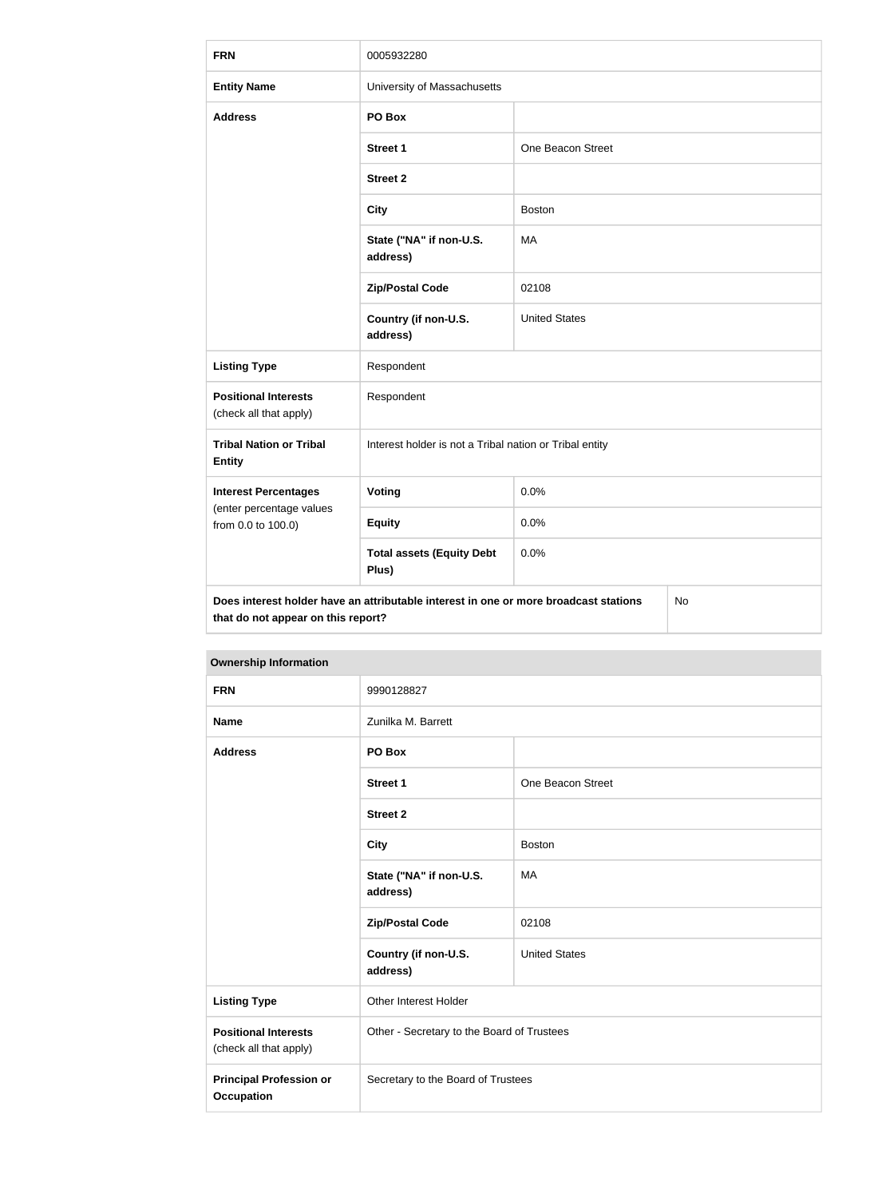| <b>FRN</b>                                                                                                                       | 0005932280                                              |                      |  |
|----------------------------------------------------------------------------------------------------------------------------------|---------------------------------------------------------|----------------------|--|
| <b>Entity Name</b>                                                                                                               | University of Massachusetts                             |                      |  |
| <b>Address</b>                                                                                                                   | PO Box                                                  |                      |  |
|                                                                                                                                  | <b>Street 1</b>                                         | One Beacon Street    |  |
|                                                                                                                                  | <b>Street 2</b>                                         |                      |  |
|                                                                                                                                  | <b>City</b>                                             | <b>Boston</b>        |  |
|                                                                                                                                  | State ("NA" if non-U.S.<br>address)                     | MA                   |  |
|                                                                                                                                  | <b>Zip/Postal Code</b>                                  | 02108                |  |
|                                                                                                                                  | Country (if non-U.S.<br>address)                        | <b>United States</b> |  |
| <b>Listing Type</b>                                                                                                              | Respondent                                              |                      |  |
| <b>Positional Interests</b><br>(check all that apply)                                                                            | Respondent                                              |                      |  |
| <b>Tribal Nation or Tribal</b><br><b>Entity</b>                                                                                  | Interest holder is not a Tribal nation or Tribal entity |                      |  |
| <b>Interest Percentages</b>                                                                                                      | <b>Voting</b>                                           | 0.0%                 |  |
| (enter percentage values<br>from 0.0 to 100.0)                                                                                   | <b>Equity</b>                                           | 0.0%                 |  |
|                                                                                                                                  | <b>Total assets (Equity Debt</b><br>Plus)               | 0.0%                 |  |
| Does interest holder have an attributable interest in one or more broadcast stations<br>No<br>that do not appear on this report? |                                                         |                      |  |

# **FRN** 9990128827 **Name Zunilka M. Barrett Address PO Box Street 1** One Beacon Street **Street 2 City** Boston **State ("NA" if non-U.S. address)** MA **Zip/Postal Code** 02108 **Country (if non-U.S. address)** United States **Listing Type Other Interest Holder Positional Interests** (check all that apply) Other - Secretary to the Board of Trustees **Principal Profession or Occupation** Secretary to the Board of Trustees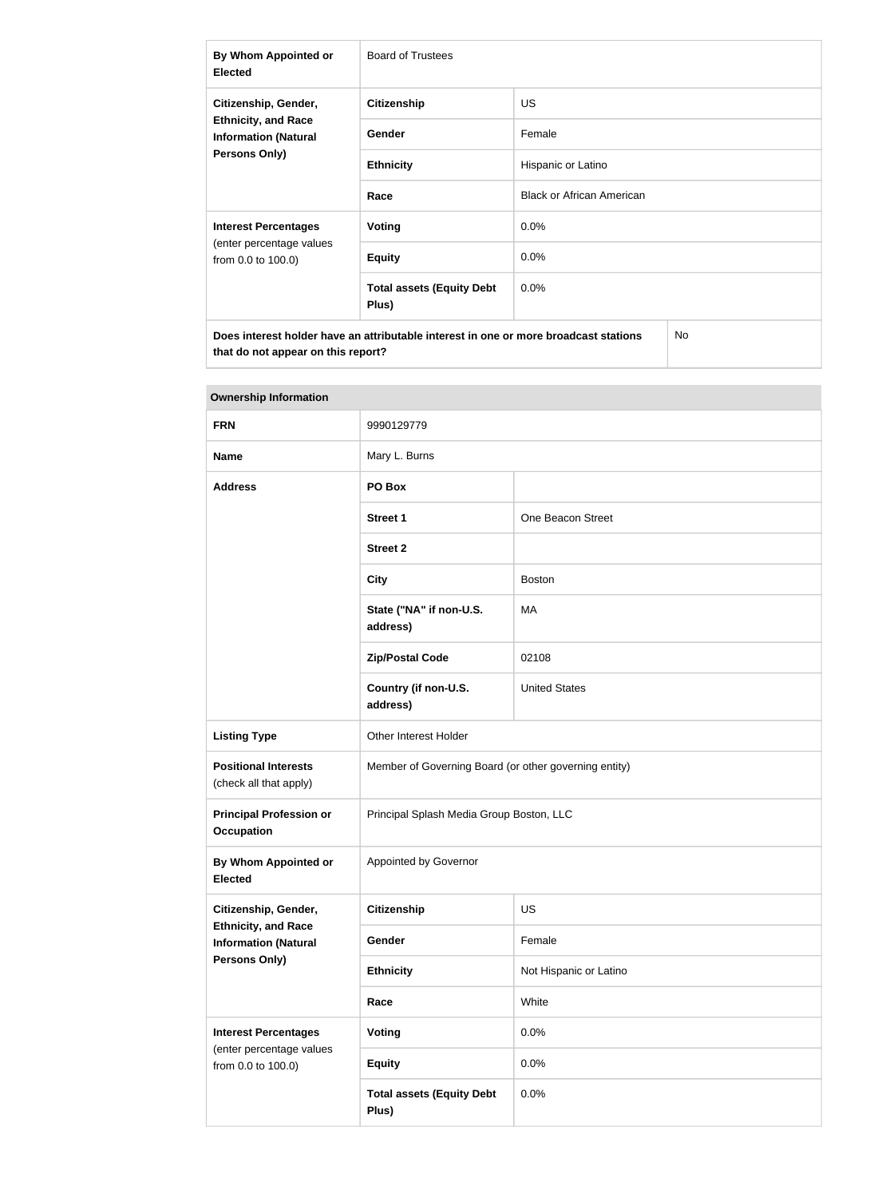| By Whom Appointed or<br><b>Elected</b>                                                                                           | <b>Board of Trustees</b>                  |                                  |  |
|----------------------------------------------------------------------------------------------------------------------------------|-------------------------------------------|----------------------------------|--|
| Citizenship, Gender,                                                                                                             | <b>Citizenship</b>                        | <b>US</b>                        |  |
| <b>Ethnicity, and Race</b><br><b>Information (Natural</b>                                                                        | <b>Gender</b>                             | Female                           |  |
| <b>Persons Only)</b>                                                                                                             | <b>Ethnicity</b>                          | Hispanic or Latino               |  |
|                                                                                                                                  | Race                                      | <b>Black or African American</b> |  |
| <b>Interest Percentages</b>                                                                                                      | Voting                                    | $0.0\%$                          |  |
| (enter percentage values<br>from 0.0 to 100.0)                                                                                   | <b>Equity</b>                             | 0.0%                             |  |
|                                                                                                                                  | <b>Total assets (Equity Debt</b><br>Plus) | 0.0%                             |  |
| Does interest holder have an attributable interest in one or more broadcast stations<br>No<br>that do not appear on this report? |                                           |                                  |  |

| ווטוואווויטווון קוווטוטווטו                               |                                                       |                        |  |  |
|-----------------------------------------------------------|-------------------------------------------------------|------------------------|--|--|
| <b>FRN</b>                                                | 9990129779                                            |                        |  |  |
| <b>Name</b>                                               | Mary L. Burns                                         |                        |  |  |
| <b>Address</b>                                            | PO Box                                                |                        |  |  |
|                                                           | <b>Street 1</b>                                       | One Beacon Street      |  |  |
|                                                           | <b>Street 2</b>                                       |                        |  |  |
|                                                           | <b>City</b>                                           | <b>Boston</b>          |  |  |
|                                                           | State ("NA" if non-U.S.<br>address)                   | MA                     |  |  |
|                                                           | <b>Zip/Postal Code</b>                                | 02108                  |  |  |
|                                                           | Country (if non-U.S.<br>address)                      | <b>United States</b>   |  |  |
| <b>Listing Type</b>                                       | Other Interest Holder                                 |                        |  |  |
| <b>Positional Interests</b><br>(check all that apply)     | Member of Governing Board (or other governing entity) |                        |  |  |
| <b>Principal Profession or</b><br><b>Occupation</b>       | Principal Splash Media Group Boston, LLC              |                        |  |  |
| By Whom Appointed or<br><b>Elected</b>                    | Appointed by Governor                                 |                        |  |  |
| Citizenship, Gender,                                      | <b>Citizenship</b>                                    | US                     |  |  |
| <b>Ethnicity, and Race</b><br><b>Information (Natural</b> | Gender                                                | Female                 |  |  |
| <b>Persons Only)</b>                                      | <b>Ethnicity</b>                                      | Not Hispanic or Latino |  |  |
|                                                           | Race                                                  | White                  |  |  |
| <b>Interest Percentages</b>                               | Voting                                                | 0.0%                   |  |  |
| (enter percentage values<br>from 0.0 to 100.0)            | <b>Equity</b>                                         | 0.0%                   |  |  |
|                                                           | <b>Total assets (Equity Debt</b><br>Plus)             | 0.0%                   |  |  |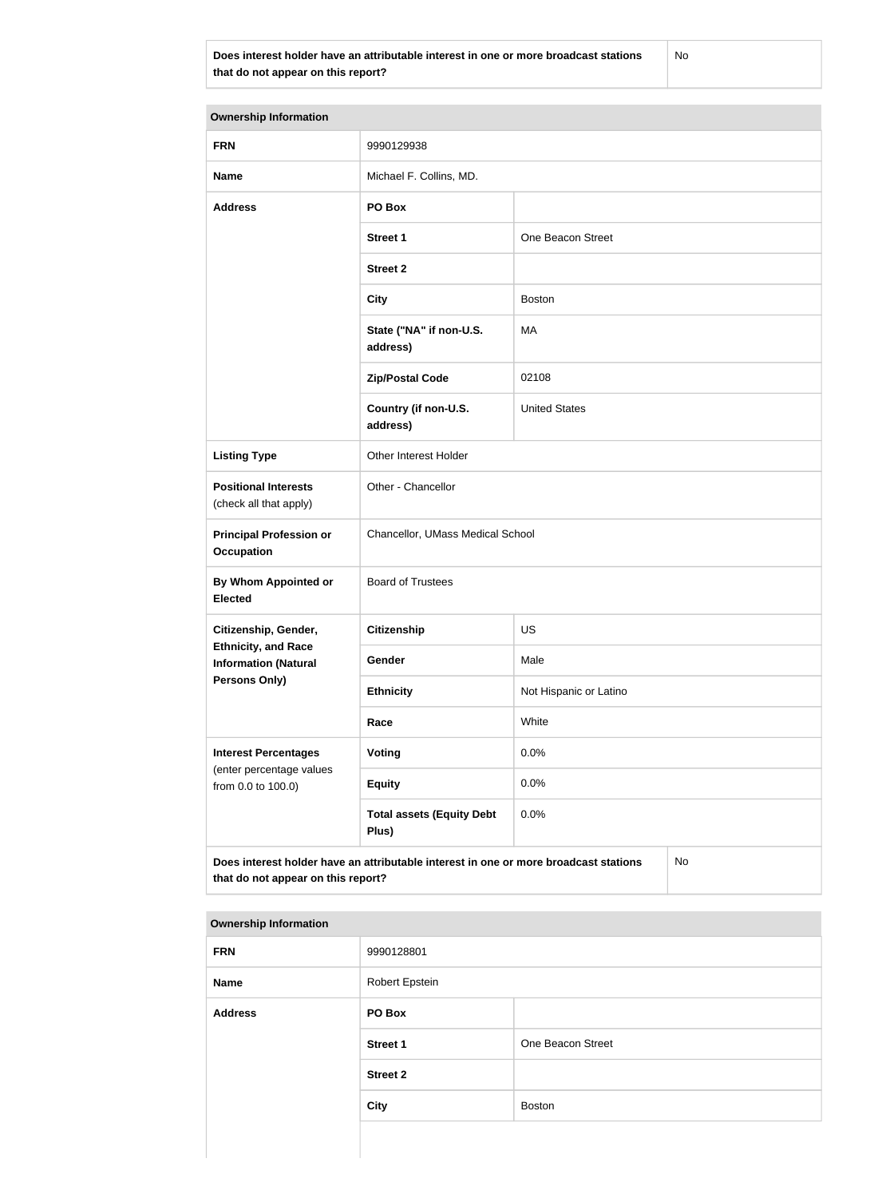**Does interest holder have an attributable interest in one or more broadcast stations that do not appear on this report?**

No

| <b>Ownership Information</b>                              |                                                                                      |                                  |  |  |
|-----------------------------------------------------------|--------------------------------------------------------------------------------------|----------------------------------|--|--|
| <b>FRN</b>                                                | 9990129938                                                                           |                                  |  |  |
| <b>Name</b>                                               | Michael F. Collins, MD.                                                              |                                  |  |  |
| <b>Address</b>                                            | PO Box                                                                               |                                  |  |  |
|                                                           | <b>Street 1</b>                                                                      | One Beacon Street                |  |  |
|                                                           | <b>Street 2</b>                                                                      |                                  |  |  |
|                                                           | <b>City</b>                                                                          | <b>Boston</b>                    |  |  |
|                                                           | State ("NA" if non-U.S.<br>address)                                                  | MA                               |  |  |
|                                                           | <b>Zip/Postal Code</b>                                                               | 02108                            |  |  |
|                                                           | Country (if non-U.S.<br>address)                                                     | <b>United States</b>             |  |  |
| <b>Listing Type</b>                                       | Other Interest Holder                                                                |                                  |  |  |
| <b>Positional Interests</b><br>(check all that apply)     | Other - Chancellor                                                                   |                                  |  |  |
| <b>Principal Profession or</b><br><b>Occupation</b>       |                                                                                      | Chancellor, UMass Medical School |  |  |
| By Whom Appointed or<br><b>Elected</b>                    | <b>Board of Trustees</b>                                                             |                                  |  |  |
| Citizenship, Gender,                                      | Citizenship                                                                          | US                               |  |  |
| <b>Ethnicity, and Race</b><br><b>Information (Natural</b> | Gender                                                                               | Male                             |  |  |
| <b>Persons Only)</b>                                      | <b>Ethnicity</b>                                                                     | Not Hispanic or Latino           |  |  |
|                                                           | Race                                                                                 | White                            |  |  |
| <b>Interest Percentages</b>                               | <b>Voting</b>                                                                        | 0.0%                             |  |  |
| (enter percentage values<br>from 0.0 to 100.0)            | <b>Equity</b>                                                                        | 0.0%                             |  |  |
|                                                           | <b>Total assets (Equity Debt</b><br>Plus)                                            | 0.0%                             |  |  |
| that do not appear on this report?                        | Does interest holder have an attributable interest in one or more broadcast stations | No                               |  |  |

| <b>FRN</b>     | 9990128801      |                   |  |
|----------------|-----------------|-------------------|--|
| Name           | Robert Epstein  |                   |  |
| <b>Address</b> | <b>PO Box</b>   |                   |  |
|                | <b>Street 1</b> | One Beacon Street |  |
|                | <b>Street 2</b> |                   |  |
|                | <b>City</b>     | <b>Boston</b>     |  |
|                |                 |                   |  |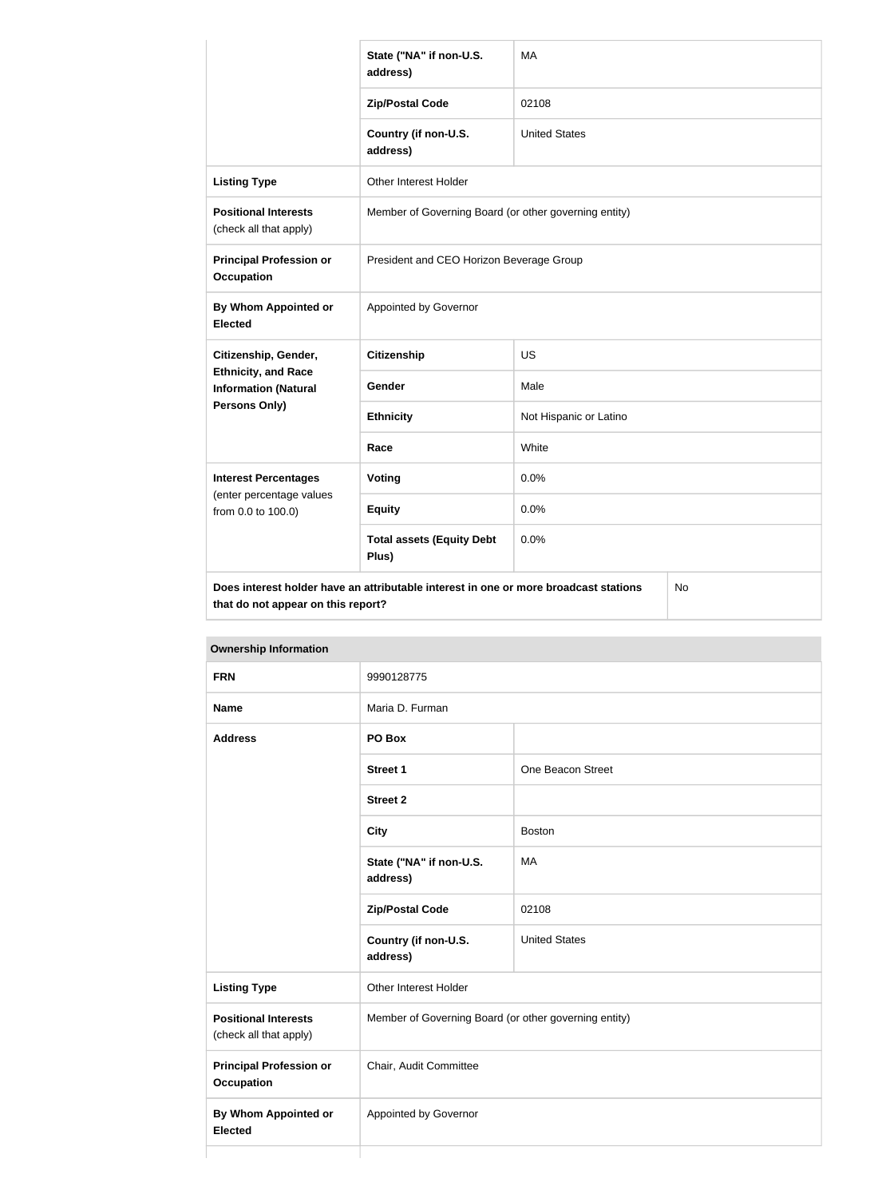|                                                           | State ("NA" if non-U.S.<br>address)                                                                                               | MA                     |  |  |
|-----------------------------------------------------------|-----------------------------------------------------------------------------------------------------------------------------------|------------------------|--|--|
|                                                           | <b>Zip/Postal Code</b>                                                                                                            | 02108                  |  |  |
|                                                           | Country (if non-U.S.<br>address)                                                                                                  | <b>United States</b>   |  |  |
| <b>Listing Type</b>                                       | Other Interest Holder                                                                                                             |                        |  |  |
| <b>Positional Interests</b><br>(check all that apply)     | Member of Governing Board (or other governing entity)                                                                             |                        |  |  |
| <b>Principal Profession or</b><br><b>Occupation</b>       | President and CEO Horizon Beverage Group                                                                                          |                        |  |  |
| By Whom Appointed or<br><b>Elected</b>                    | Appointed by Governor                                                                                                             |                        |  |  |
| Citizenship, Gender,                                      | <b>Citizenship</b>                                                                                                                | <b>US</b>              |  |  |
| <b>Ethnicity, and Race</b><br><b>Information (Natural</b> | Gender                                                                                                                            | Male                   |  |  |
| <b>Persons Only)</b>                                      | <b>Ethnicity</b>                                                                                                                  | Not Hispanic or Latino |  |  |
|                                                           | Race                                                                                                                              | White                  |  |  |
| <b>Interest Percentages</b>                               | Voting                                                                                                                            | 0.0%                   |  |  |
| (enter percentage values<br>from 0.0 to 100.0)            | <b>Equity</b>                                                                                                                     | 0.0%                   |  |  |
|                                                           | <b>Total assets (Equity Debt</b><br>Plus)                                                                                         | 0.0%                   |  |  |
|                                                           | Does interest holder have an attributable interest in one or more broadcast stations<br>No.<br>that do not appear on this report? |                        |  |  |

| <b>FRN</b>                                            | 9990128775                                            |                      |
|-------------------------------------------------------|-------------------------------------------------------|----------------------|
| <b>Name</b>                                           | Maria D. Furman                                       |                      |
| <b>Address</b>                                        | PO Box                                                |                      |
|                                                       | <b>Street 1</b>                                       | One Beacon Street    |
|                                                       | <b>Street 2</b>                                       |                      |
|                                                       | <b>City</b>                                           | <b>Boston</b>        |
|                                                       | State ("NA" if non-U.S.<br>address)                   | <b>MA</b>            |
|                                                       | <b>Zip/Postal Code</b>                                | 02108                |
|                                                       | Country (if non-U.S.<br>address)                      | <b>United States</b> |
| <b>Listing Type</b>                                   | Other Interest Holder                                 |                      |
| <b>Positional Interests</b><br>(check all that apply) | Member of Governing Board (or other governing entity) |                      |
| <b>Principal Profession or</b><br><b>Occupation</b>   | Chair, Audit Committee                                |                      |
| <b>By Whom Appointed or</b><br><b>Elected</b>         | Appointed by Governor                                 |                      |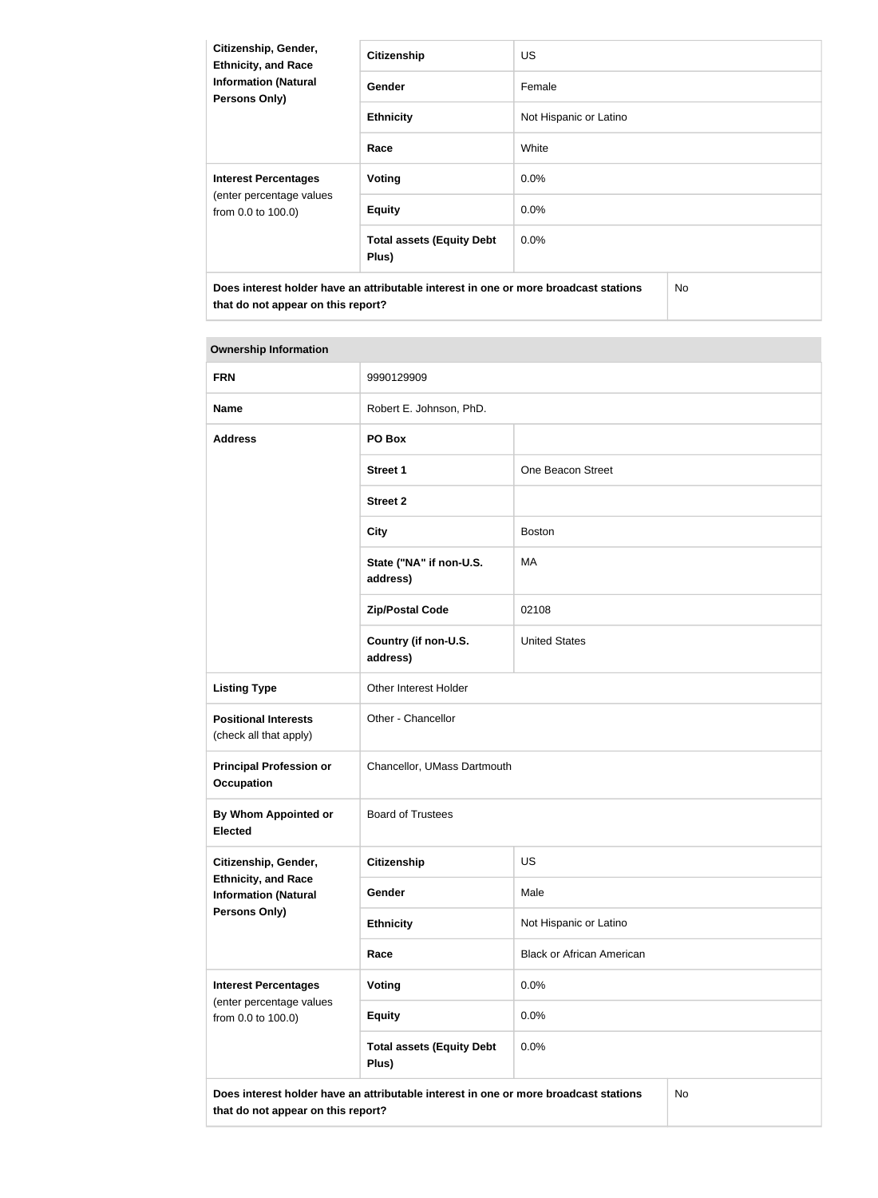| Citizenship, Gender,<br><b>Ethnicity, and Race</b><br><b>Information (Natural</b><br>Persons Only)                         | <b>Citizenship</b>                        | <b>US</b>              |
|----------------------------------------------------------------------------------------------------------------------------|-------------------------------------------|------------------------|
|                                                                                                                            | <b>Gender</b>                             | Female                 |
|                                                                                                                            | <b>Ethnicity</b>                          | Not Hispanic or Latino |
|                                                                                                                            | Race                                      | White                  |
| <b>Interest Percentages</b><br>(enter percentage values<br>from 0.0 to 100.0)                                              | Voting                                    | $0.0\%$                |
|                                                                                                                            | <b>Equity</b>                             | $0.0\%$                |
|                                                                                                                            | <b>Total assets (Equity Debt</b><br>Plus) | $0.0\%$                |
| Does interest holder have an attributable interest in one or more broadcast stations<br>that do not appear on this report? |                                           | No.                    |

| <b>FRN</b>                                                                                                                       | 9990129909                                |                                  |  |
|----------------------------------------------------------------------------------------------------------------------------------|-------------------------------------------|----------------------------------|--|
| <b>Name</b>                                                                                                                      | Robert E. Johnson, PhD.                   |                                  |  |
| <b>Address</b>                                                                                                                   | PO Box                                    |                                  |  |
|                                                                                                                                  | <b>Street 1</b>                           | One Beacon Street                |  |
|                                                                                                                                  | <b>Street 2</b>                           |                                  |  |
|                                                                                                                                  | <b>City</b>                               | <b>Boston</b>                    |  |
|                                                                                                                                  | State ("NA" if non-U.S.<br>address)       | MA                               |  |
|                                                                                                                                  | <b>Zip/Postal Code</b>                    | 02108                            |  |
|                                                                                                                                  | Country (if non-U.S.<br>address)          | <b>United States</b>             |  |
| <b>Listing Type</b>                                                                                                              | Other Interest Holder                     |                                  |  |
| <b>Positional Interests</b><br>(check all that apply)                                                                            | Other - Chancellor                        |                                  |  |
| <b>Principal Profession or</b><br><b>Occupation</b>                                                                              | Chancellor, UMass Dartmouth               |                                  |  |
| By Whom Appointed or<br><b>Elected</b>                                                                                           | <b>Board of Trustees</b>                  |                                  |  |
| Citizenship, Gender,                                                                                                             | Citizenship                               | US                               |  |
| <b>Ethnicity, and Race</b><br><b>Information (Natural</b>                                                                        | Gender                                    | Male                             |  |
| Persons Only)                                                                                                                    | <b>Ethnicity</b>                          | Not Hispanic or Latino           |  |
|                                                                                                                                  | Race                                      | <b>Black or African American</b> |  |
| <b>Interest Percentages</b><br>(enter percentage values<br>from 0.0 to 100.0)                                                    | <b>Voting</b>                             | 0.0%                             |  |
|                                                                                                                                  | <b>Equity</b>                             | 0.0%                             |  |
|                                                                                                                                  | <b>Total assets (Equity Debt</b><br>Plus) | 0.0%                             |  |
| Does interest holder have an attributable interest in one or more broadcast stations<br>No<br>that do not appear on this report? |                                           |                                  |  |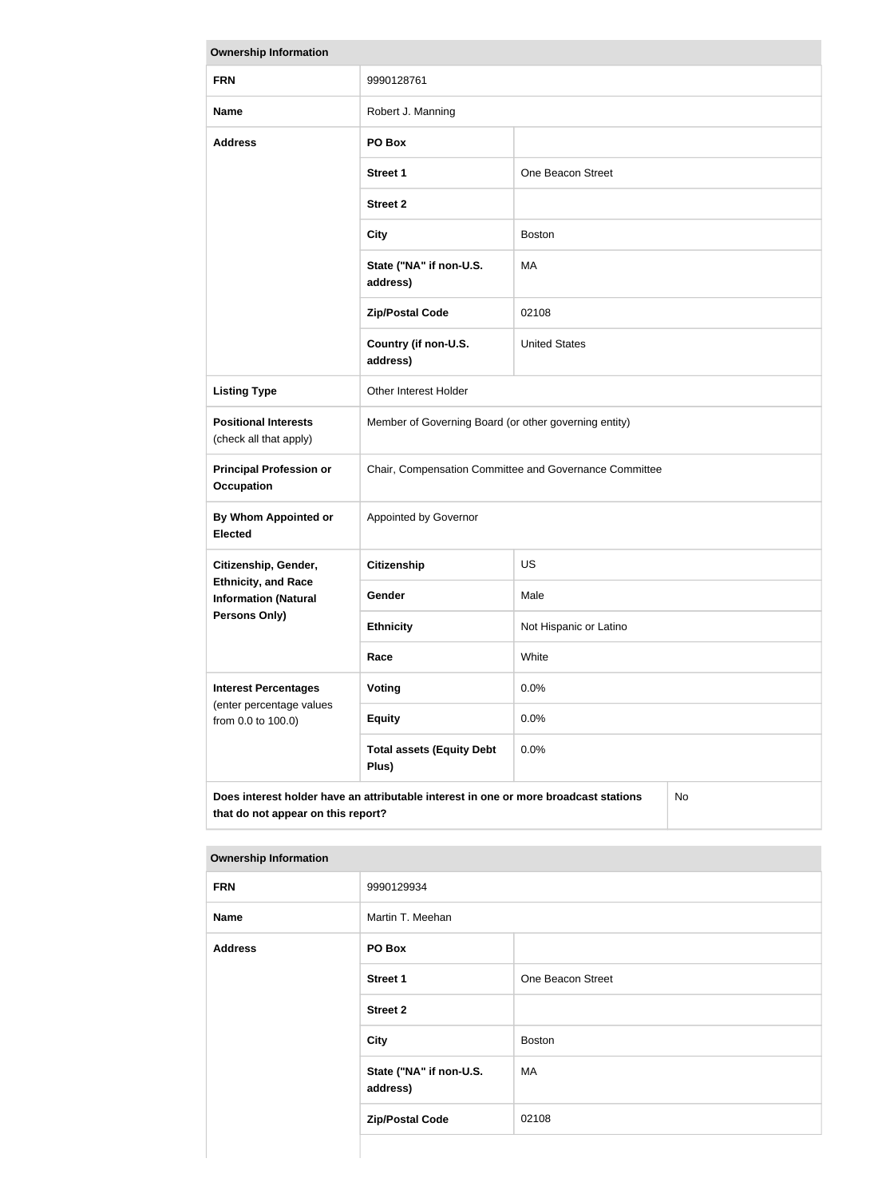| <b>Ownership Information</b>                                                                                                            |                                                        |                        |  |
|-----------------------------------------------------------------------------------------------------------------------------------------|--------------------------------------------------------|------------------------|--|
| <b>FRN</b>                                                                                                                              | 9990128761                                             |                        |  |
| <b>Name</b>                                                                                                                             | Robert J. Manning                                      |                        |  |
| <b>Address</b>                                                                                                                          | PO Box                                                 |                        |  |
|                                                                                                                                         | <b>Street 1</b>                                        | One Beacon Street      |  |
|                                                                                                                                         | <b>Street 2</b>                                        |                        |  |
|                                                                                                                                         | <b>City</b>                                            | <b>Boston</b>          |  |
|                                                                                                                                         | State ("NA" if non-U.S.<br>address)                    | MA                     |  |
|                                                                                                                                         | <b>Zip/Postal Code</b>                                 | 02108                  |  |
|                                                                                                                                         | Country (if non-U.S.<br>address)                       | <b>United States</b>   |  |
| <b>Listing Type</b>                                                                                                                     | Other Interest Holder                                  |                        |  |
| <b>Positional Interests</b><br>(check all that apply)                                                                                   | Member of Governing Board (or other governing entity)  |                        |  |
| <b>Principal Profession or</b><br><b>Occupation</b>                                                                                     | Chair, Compensation Committee and Governance Committee |                        |  |
| By Whom Appointed or<br><b>Elected</b>                                                                                                  | Appointed by Governor                                  |                        |  |
| Citizenship, Gender,                                                                                                                    | <b>Citizenship</b>                                     | <b>US</b>              |  |
| <b>Ethnicity, and Race</b><br><b>Information (Natural</b>                                                                               | <b>Gender</b>                                          | Male                   |  |
| Persons Only)                                                                                                                           | <b>Ethnicity</b>                                       | Not Hispanic or Latino |  |
|                                                                                                                                         | Race                                                   | White                  |  |
| <b>Interest Percentages</b>                                                                                                             | Voting                                                 | 0.0%                   |  |
| (enter percentage values<br>from 0.0 to 100.0)                                                                                          | <b>Equity</b>                                          | 0.0%                   |  |
|                                                                                                                                         | <b>Total assets (Equity Debt</b><br>Plus)              | 0.0%                   |  |
| Does interest holder have an attributable interest in one or more broadcast stations<br><b>No</b><br>that do not appear on this report? |                                                        |                        |  |

| <b>FRN</b>     | 9990129934                          |                   |  |
|----------------|-------------------------------------|-------------------|--|
| <b>Name</b>    | Martin T. Meehan                    |                   |  |
| <b>Address</b> | PO Box                              |                   |  |
|                | <b>Street 1</b>                     | One Beacon Street |  |
|                | <b>Street 2</b>                     |                   |  |
|                | <b>City</b>                         | <b>Boston</b>     |  |
|                | State ("NA" if non-U.S.<br>address) | MA                |  |
|                | <b>Zip/Postal Code</b>              | 02108             |  |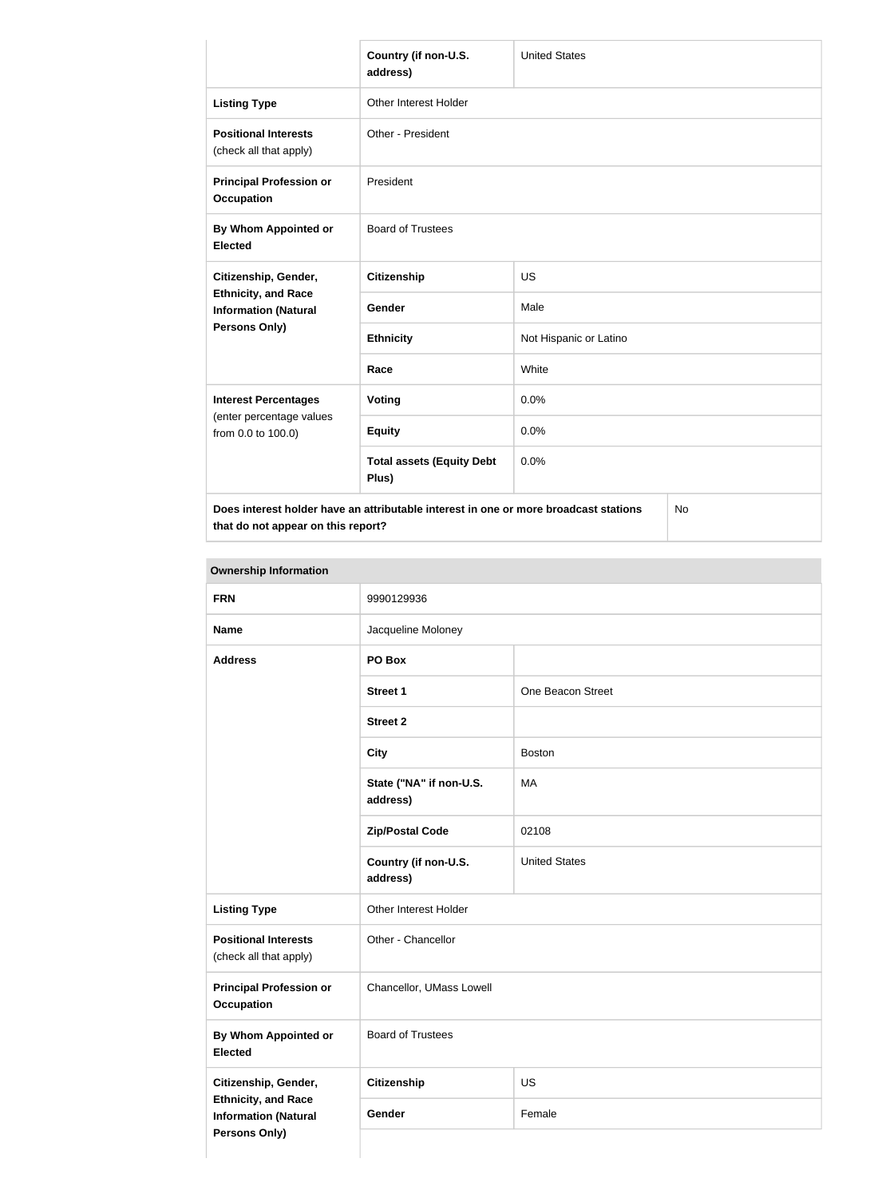|                                                                                                           | Country (if non-U.S.<br>address)          | <b>United States</b>   |  |
|-----------------------------------------------------------------------------------------------------------|-------------------------------------------|------------------------|--|
| <b>Listing Type</b>                                                                                       | Other Interest Holder                     |                        |  |
| <b>Positional Interests</b><br>(check all that apply)                                                     | Other - President                         |                        |  |
| <b>Principal Profession or</b><br><b>Occupation</b>                                                       | President                                 |                        |  |
| By Whom Appointed or<br><b>Elected</b>                                                                    | <b>Board of Trustees</b>                  |                        |  |
| Citizenship, Gender,<br><b>Ethnicity, and Race</b><br><b>Information (Natural</b><br><b>Persons Only)</b> | <b>Citizenship</b>                        | <b>US</b>              |  |
|                                                                                                           | Gender                                    | Male                   |  |
|                                                                                                           | <b>Ethnicity</b>                          | Not Hispanic or Latino |  |
|                                                                                                           | Race                                      | White                  |  |
| <b>Interest Percentages</b>                                                                               | Voting                                    | 0.0%                   |  |
| (enter percentage values<br>from 0.0 to 100.0)                                                            | <b>Equity</b>                             | 0.0%                   |  |
|                                                                                                           | <b>Total assets (Equity Debt</b><br>Plus) | 0.0%                   |  |
| Does interest holder have an attributable interest in one or more broadcast stations<br>No                |                                           |                        |  |

**that do not appear on this report?**

No

| <b>FRN</b>                                                                 | 9990129936                          |                      |
|----------------------------------------------------------------------------|-------------------------------------|----------------------|
| <b>Name</b>                                                                | Jacqueline Moloney                  |                      |
| <b>Address</b>                                                             | PO Box                              |                      |
|                                                                            | <b>Street 1</b>                     | One Beacon Street    |
|                                                                            | <b>Street 2</b>                     |                      |
|                                                                            | <b>City</b>                         | <b>Boston</b>        |
|                                                                            | State ("NA" if non-U.S.<br>address) | MA                   |
|                                                                            | <b>Zip/Postal Code</b>              | 02108                |
|                                                                            | Country (if non-U.S.<br>address)    | <b>United States</b> |
| <b>Listing Type</b>                                                        | Other Interest Holder               |                      |
| <b>Positional Interests</b><br>(check all that apply)                      | Other - Chancellor                  |                      |
| <b>Principal Profession or</b><br><b>Occupation</b>                        | Chancellor, UMass Lowell            |                      |
| <b>By Whom Appointed or</b><br><b>Elected</b>                              | <b>Board of Trustees</b>            |                      |
| Citizenship, Gender,                                                       | <b>Citizenship</b>                  | US                   |
| <b>Ethnicity, and Race</b><br><b>Information (Natural</b><br>Persons Only) | Gender                              | Female               |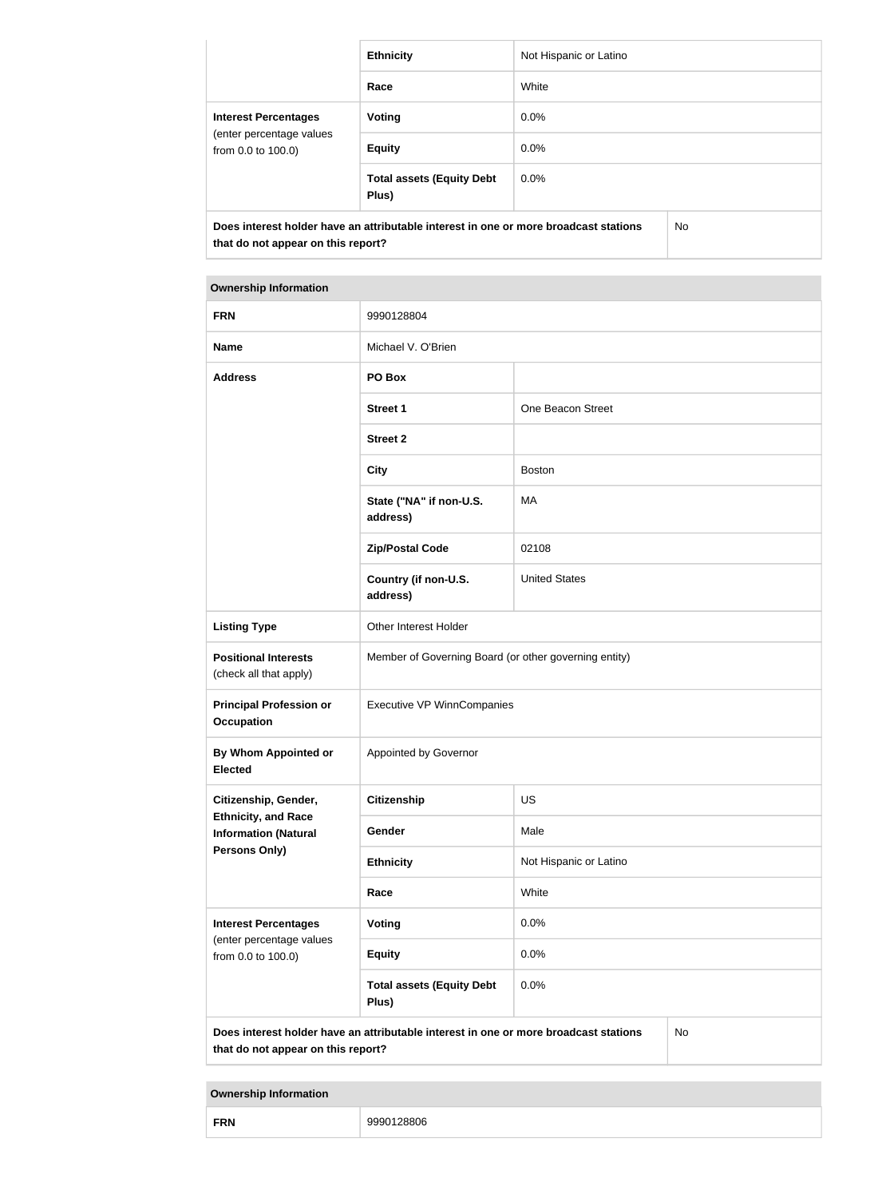|                                                                                                                            | <b>Ethnicity</b>                          | Not Hispanic or Latino |  |
|----------------------------------------------------------------------------------------------------------------------------|-------------------------------------------|------------------------|--|
|                                                                                                                            | Race                                      | White                  |  |
| <b>Interest Percentages</b><br>(enter percentage values<br>from 0.0 to 100.0)                                              | <b>Voting</b>                             | $0.0\%$                |  |
|                                                                                                                            | <b>Equity</b>                             | $0.0\%$                |  |
|                                                                                                                            | <b>Total assets (Equity Debt</b><br>Plus) | $0.0\%$                |  |
| Does interest holder have an attributable interest in one or more broadcast stations<br>that do not appear on this report? |                                           | No.                    |  |

| <b>FRN</b>                                                                                                                       | 9990128804                                            |                        |  |
|----------------------------------------------------------------------------------------------------------------------------------|-------------------------------------------------------|------------------------|--|
| <b>Name</b>                                                                                                                      | Michael V. O'Brien                                    |                        |  |
| <b>Address</b>                                                                                                                   | PO Box                                                |                        |  |
|                                                                                                                                  | <b>Street 1</b>                                       | One Beacon Street      |  |
|                                                                                                                                  | <b>Street 2</b>                                       |                        |  |
|                                                                                                                                  | <b>City</b>                                           | <b>Boston</b>          |  |
|                                                                                                                                  | State ("NA" if non-U.S.<br>address)                   | MA                     |  |
|                                                                                                                                  | <b>Zip/Postal Code</b>                                | 02108                  |  |
|                                                                                                                                  | Country (if non-U.S.<br>address)                      | <b>United States</b>   |  |
| <b>Listing Type</b>                                                                                                              | Other Interest Holder                                 |                        |  |
| <b>Positional Interests</b><br>(check all that apply)                                                                            | Member of Governing Board (or other governing entity) |                        |  |
| <b>Principal Profession or</b><br><b>Occupation</b>                                                                              | <b>Executive VP WinnCompanies</b>                     |                        |  |
| By Whom Appointed or<br><b>Elected</b>                                                                                           | Appointed by Governor                                 |                        |  |
| Citizenship, Gender,                                                                                                             | <b>Citizenship</b>                                    | US                     |  |
| <b>Ethnicity, and Race</b><br><b>Information (Natural</b>                                                                        | Gender                                                | Male                   |  |
| <b>Persons Only)</b>                                                                                                             | <b>Ethnicity</b>                                      | Not Hispanic or Latino |  |
|                                                                                                                                  | Race                                                  | White                  |  |
| <b>Interest Percentages</b><br>(enter percentage values                                                                          | <b>Voting</b>                                         | 0.0%                   |  |
| from 0.0 to 100.0)                                                                                                               | <b>Equity</b>                                         | 0.0%                   |  |
|                                                                                                                                  | <b>Total assets (Equity Debt</b><br>Plus)             | 0.0%                   |  |
| Does interest holder have an attributable interest in one or more broadcast stations<br>No<br>that do not appear on this report? |                                                       |                        |  |

| <b>FRN</b><br>$\sim$<br>28806 |  |
|-------------------------------|--|
|-------------------------------|--|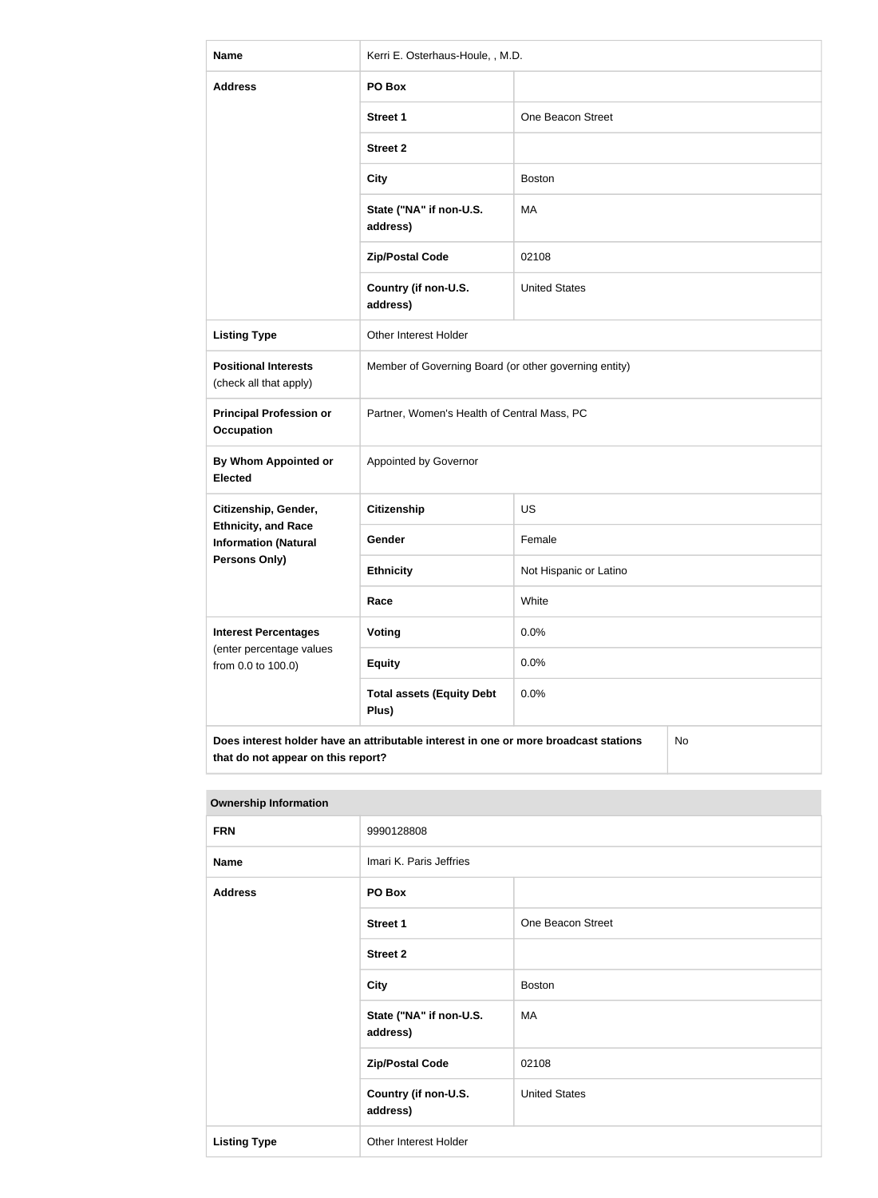| <b>Name</b>                                                                                                                      | Kerri E. Osterhaus-Houle, , M.D.                      |                        |  |
|----------------------------------------------------------------------------------------------------------------------------------|-------------------------------------------------------|------------------------|--|
| <b>Address</b>                                                                                                                   | PO Box                                                |                        |  |
|                                                                                                                                  | <b>Street 1</b>                                       | One Beacon Street      |  |
|                                                                                                                                  | <b>Street 2</b>                                       |                        |  |
|                                                                                                                                  | <b>City</b>                                           | <b>Boston</b>          |  |
|                                                                                                                                  | State ("NA" if non-U.S.<br>address)                   | <b>MA</b>              |  |
|                                                                                                                                  | <b>Zip/Postal Code</b>                                | 02108                  |  |
|                                                                                                                                  | Country (if non-U.S.<br>address)                      | <b>United States</b>   |  |
| <b>Listing Type</b>                                                                                                              | Other Interest Holder                                 |                        |  |
| <b>Positional Interests</b><br>(check all that apply)                                                                            | Member of Governing Board (or other governing entity) |                        |  |
| <b>Principal Profession or</b><br><b>Occupation</b>                                                                              | Partner, Women's Health of Central Mass, PC           |                        |  |
| By Whom Appointed or<br><b>Elected</b>                                                                                           | Appointed by Governor                                 |                        |  |
| Citizenship, Gender,                                                                                                             | <b>Citizenship</b>                                    | <b>US</b>              |  |
| <b>Ethnicity, and Race</b><br><b>Information (Natural</b>                                                                        | Gender                                                | Female                 |  |
| <b>Persons Only)</b>                                                                                                             | <b>Ethnicity</b>                                      | Not Hispanic or Latino |  |
|                                                                                                                                  | Race                                                  | White                  |  |
| <b>Interest Percentages</b><br>(enter percentage values                                                                          | Voting                                                | 0.0%                   |  |
| from 0.0 to 100.0)                                                                                                               | <b>Equity</b>                                         | 0.0%                   |  |
|                                                                                                                                  | <b>Total assets (Equity Debt</b><br>Plus)             | 0.0%                   |  |
| Does interest holder have an attributable interest in one or more broadcast stations<br>No<br>that do not appear on this report? |                                                       |                        |  |

| <b>Ownership information</b> |                                     |                      |
|------------------------------|-------------------------------------|----------------------|
| <b>FRN</b>                   | 9990128808                          |                      |
| <b>Name</b>                  | Imari K. Paris Jeffries             |                      |
| <b>Address</b>               | PO Box                              |                      |
|                              | <b>Street 1</b>                     | One Beacon Street    |
|                              | <b>Street 2</b>                     |                      |
|                              | City                                | <b>Boston</b>        |
|                              | State ("NA" if non-U.S.<br>address) | MA                   |
|                              | <b>Zip/Postal Code</b>              | 02108                |
|                              | Country (if non-U.S.<br>address)    | <b>United States</b> |
| <b>Listing Type</b>          | Other Interest Holder               |                      |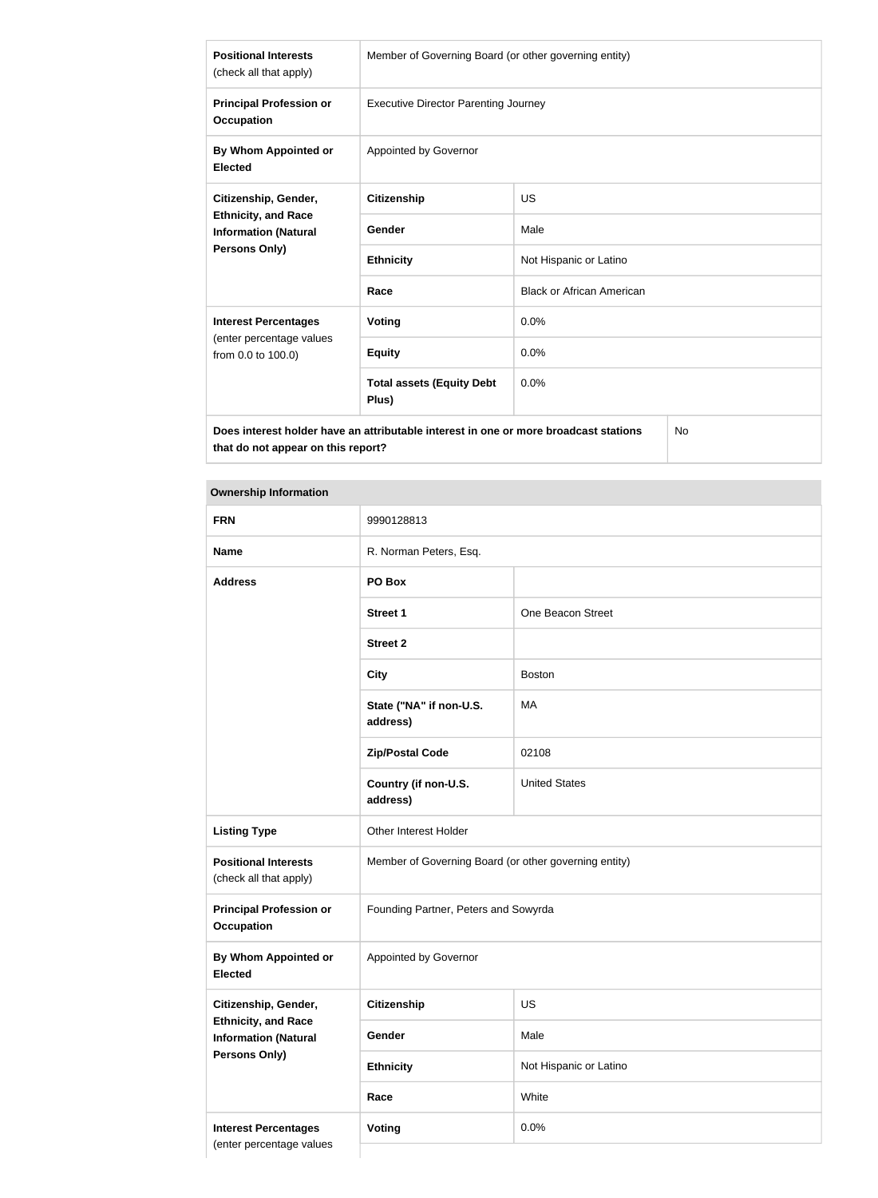| <b>Positional Interests</b><br>(check all that apply)                                             | Member of Governing Board (or other governing entity) |                                  |  |
|---------------------------------------------------------------------------------------------------|-------------------------------------------------------|----------------------------------|--|
| <b>Principal Profession or</b><br><b>Occupation</b>                                               | <b>Executive Director Parenting Journey</b>           |                                  |  |
| By Whom Appointed or<br><b>Elected</b>                                                            | Appointed by Governor                                 |                                  |  |
| Citizenship, Gender,                                                                              | <b>Citizenship</b>                                    | US                               |  |
| <b>Ethnicity, and Race</b><br><b>Information (Natural</b>                                         | Gender                                                | Male                             |  |
| <b>Persons Only)</b>                                                                              | <b>Ethnicity</b>                                      | Not Hispanic or Latino           |  |
|                                                                                                   | Race                                                  | <b>Black or African American</b> |  |
| <b>Interest Percentages</b>                                                                       | Voting                                                | 0.0%                             |  |
| (enter percentage values<br>from 0.0 to 100.0)                                                    | <b>Equity</b>                                         | 0.0%                             |  |
|                                                                                                   | <b>Total assets (Equity Debt</b><br>Plus)             | 0.0%                             |  |
| Does interest holder have an attributable interest in one or more broadcast stations<br><b>No</b> |                                                       |                                  |  |

**Does interest holder have an attributable interest in one or more broadcast stations that do not appear on this report?**

| <b>FRN</b>                                                | 9990128813                                            |                        |
|-----------------------------------------------------------|-------------------------------------------------------|------------------------|
| <b>Name</b>                                               | R. Norman Peters, Esq.                                |                        |
| <b>Address</b>                                            | PO Box                                                |                        |
|                                                           | <b>Street 1</b>                                       | One Beacon Street      |
|                                                           | <b>Street 2</b>                                       |                        |
|                                                           | <b>City</b>                                           | <b>Boston</b>          |
|                                                           | State ("NA" if non-U.S.<br>address)                   | MA                     |
|                                                           | <b>Zip/Postal Code</b>                                | 02108                  |
|                                                           | Country (if non-U.S.<br>address)                      | <b>United States</b>   |
| <b>Listing Type</b>                                       | Other Interest Holder                                 |                        |
| <b>Positional Interests</b><br>(check all that apply)     | Member of Governing Board (or other governing entity) |                        |
| <b>Principal Profession or</b><br><b>Occupation</b>       | Founding Partner, Peters and Sowyrda                  |                        |
| By Whom Appointed or<br><b>Elected</b>                    | Appointed by Governor                                 |                        |
| Citizenship, Gender,                                      | <b>Citizenship</b>                                    | US                     |
| <b>Ethnicity, and Race</b><br><b>Information (Natural</b> | Gender                                                | Male                   |
| <b>Persons Only)</b>                                      | <b>Ethnicity</b>                                      | Not Hispanic or Latino |
|                                                           | Race                                                  | White                  |
| <b>Interest Percentages</b>                               | Voting                                                | 0.0%                   |
| (enter percentage values                                  |                                                       |                        |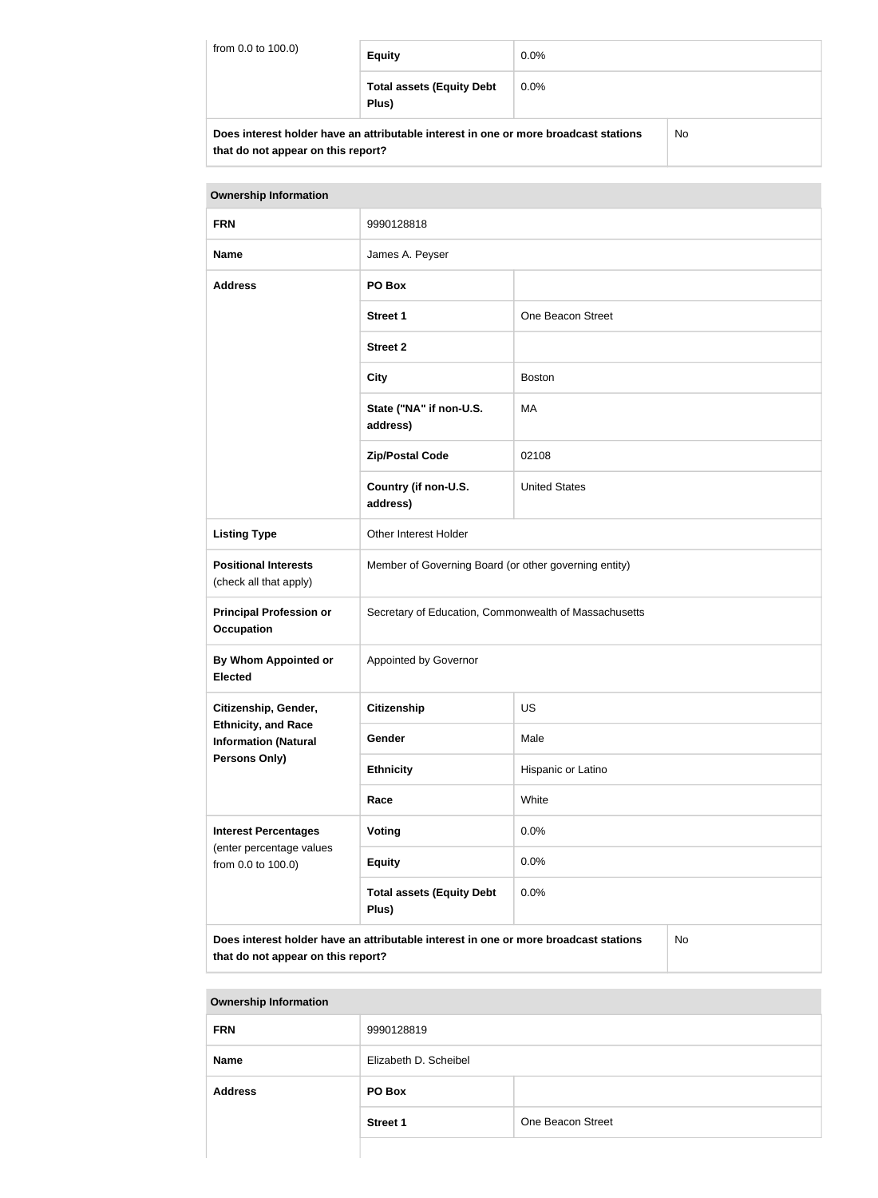| from 0.0 to 100.0)                                                                   | <b>Equity</b>                             | $0.0\%$ |     |
|--------------------------------------------------------------------------------------|-------------------------------------------|---------|-----|
|                                                                                      | <b>Total assets (Equity Debt</b><br>Plus) | $0.0\%$ |     |
| Does interest holder have an attributable interest in one or more broadcast stations |                                           |         | No. |

| DOES INCRESI NOIGE NAVE AN AUNDULADIE INCRESI IN ONE OF MORE DI OAGCASI SIAUONS |  |
|---------------------------------------------------------------------------------|--|
| that do not appear on this report?                                              |  |

| <b>Ownership Information</b>                                                                                                            |                                                       |                      |  |
|-----------------------------------------------------------------------------------------------------------------------------------------|-------------------------------------------------------|----------------------|--|
| <b>FRN</b>                                                                                                                              | 9990128818                                            |                      |  |
| <b>Name</b>                                                                                                                             | James A. Peyser                                       |                      |  |
| <b>Address</b>                                                                                                                          | PO Box                                                |                      |  |
|                                                                                                                                         | <b>Street 1</b>                                       | One Beacon Street    |  |
|                                                                                                                                         | <b>Street 2</b>                                       |                      |  |
|                                                                                                                                         | <b>City</b>                                           | <b>Boston</b>        |  |
|                                                                                                                                         | State ("NA" if non-U.S.<br>address)                   | MA                   |  |
|                                                                                                                                         | <b>Zip/Postal Code</b>                                | 02108                |  |
|                                                                                                                                         | Country (if non-U.S.<br>address)                      | <b>United States</b> |  |
| <b>Listing Type</b>                                                                                                                     | Other Interest Holder                                 |                      |  |
| <b>Positional Interests</b><br>(check all that apply)                                                                                   | Member of Governing Board (or other governing entity) |                      |  |
| <b>Principal Profession or</b><br><b>Occupation</b>                                                                                     | Secretary of Education, Commonwealth of Massachusetts |                      |  |
| <b>By Whom Appointed or</b><br><b>Elected</b>                                                                                           | Appointed by Governor                                 |                      |  |
| Citizenship, Gender,                                                                                                                    | Citizenship                                           | US                   |  |
| <b>Ethnicity, and Race</b><br><b>Information (Natural</b>                                                                               | Gender                                                | Male                 |  |
| <b>Persons Only)</b>                                                                                                                    | <b>Ethnicity</b>                                      | Hispanic or Latino   |  |
|                                                                                                                                         | Race                                                  | White                |  |
| <b>Interest Percentages</b><br>(enter percentage values                                                                                 | Voting                                                | 0.0%                 |  |
| from 0.0 to 100.0)                                                                                                                      | <b>Equity</b>                                         | 0.0%                 |  |
|                                                                                                                                         | <b>Total assets (Equity Debt</b><br>Plus)             | 0.0%                 |  |
| Does interest holder have an attributable interest in one or more broadcast stations<br><b>No</b><br>that do not appear on this report? |                                                       |                      |  |

| <b>Ownership Information</b> |                       |                   |
|------------------------------|-----------------------|-------------------|
| <b>FRN</b>                   | 9990128819            |                   |
| <b>Name</b>                  | Elizabeth D. Scheibel |                   |
| <b>Address</b>               | PO Box                |                   |
|                              | <b>Street 1</b>       | One Beacon Street |
|                              |                       |                   |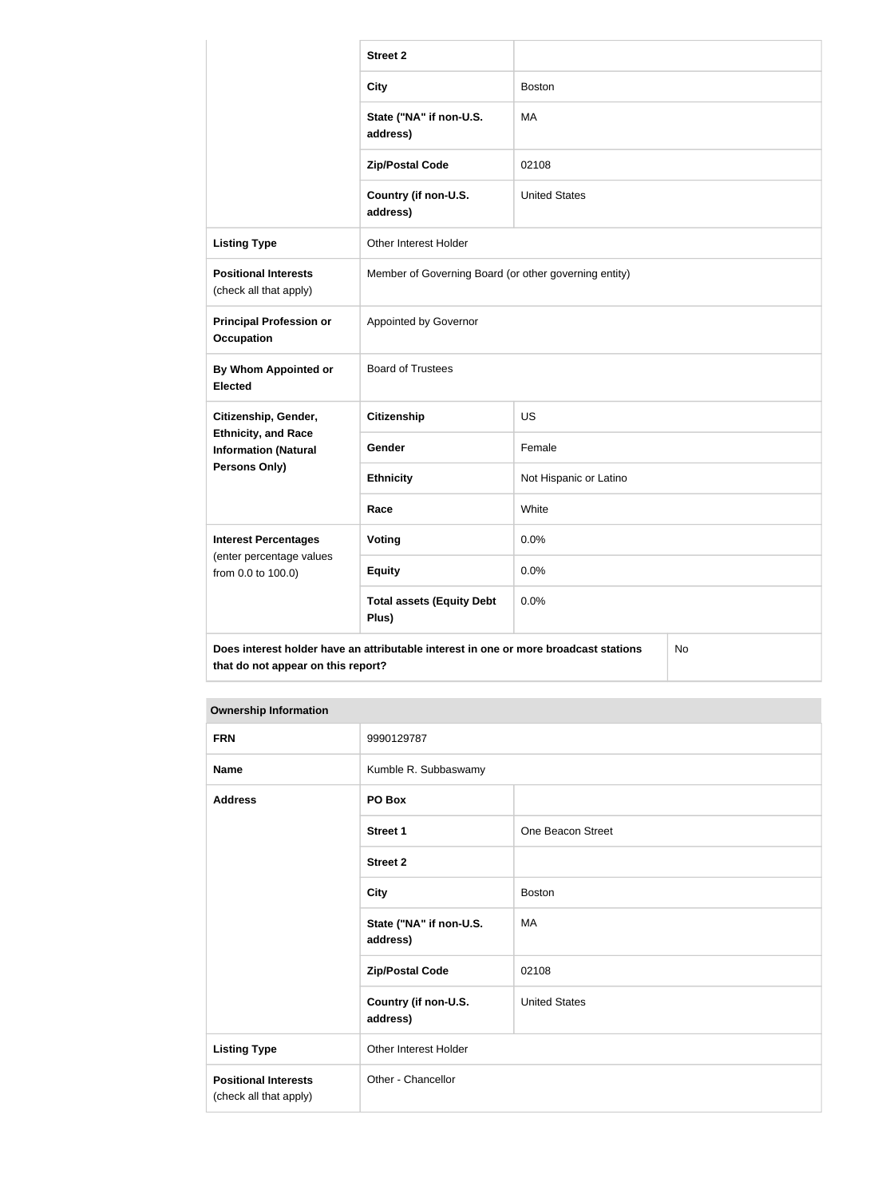|                                                                                                                                  | <b>Street 2</b>                                       |                        |  |
|----------------------------------------------------------------------------------------------------------------------------------|-------------------------------------------------------|------------------------|--|
|                                                                                                                                  | <b>City</b>                                           | <b>Boston</b>          |  |
|                                                                                                                                  | State ("NA" if non-U.S.<br>address)                   | MA                     |  |
|                                                                                                                                  | <b>Zip/Postal Code</b>                                | 02108                  |  |
|                                                                                                                                  | Country (if non-U.S.<br>address)                      | <b>United States</b>   |  |
| <b>Listing Type</b>                                                                                                              | Other Interest Holder                                 |                        |  |
| <b>Positional Interests</b><br>(check all that apply)                                                                            | Member of Governing Board (or other governing entity) |                        |  |
| <b>Principal Profession or</b><br><b>Occupation</b>                                                                              | Appointed by Governor                                 |                        |  |
| By Whom Appointed or<br><b>Elected</b>                                                                                           | <b>Board of Trustees</b>                              |                        |  |
| Citizenship, Gender,                                                                                                             | <b>Citizenship</b>                                    | <b>US</b>              |  |
| <b>Ethnicity, and Race</b><br><b>Information (Natural</b>                                                                        | Gender                                                | Female                 |  |
| Persons Only)                                                                                                                    | <b>Ethnicity</b>                                      | Not Hispanic or Latino |  |
|                                                                                                                                  | Race                                                  | White                  |  |
| <b>Interest Percentages</b>                                                                                                      | Voting                                                | 0.0%                   |  |
| (enter percentage values<br>from 0.0 to 100.0)                                                                                   | <b>Equity</b>                                         | 0.0%                   |  |
|                                                                                                                                  | <b>Total assets (Equity Debt</b><br>Plus)             | 0.0%                   |  |
| Does interest holder have an attributable interest in one or more broadcast stations<br>No<br>that do not appear on this report? |                                                       |                        |  |

| <b>FRN</b>                                            | 9990129787                          |                      |
|-------------------------------------------------------|-------------------------------------|----------------------|
| <b>Name</b>                                           | Kumble R. Subbaswamy                |                      |
| <b>Address</b>                                        | PO Box                              |                      |
|                                                       | <b>Street 1</b>                     | One Beacon Street    |
|                                                       | <b>Street 2</b>                     |                      |
|                                                       | <b>City</b>                         | <b>Boston</b>        |
|                                                       | State ("NA" if non-U.S.<br>address) | MA                   |
|                                                       | <b>Zip/Postal Code</b>              | 02108                |
|                                                       | Country (if non-U.S.<br>address)    | <b>United States</b> |
| <b>Listing Type</b>                                   | Other Interest Holder               |                      |
| <b>Positional Interests</b><br>(check all that apply) | Other - Chancellor                  |                      |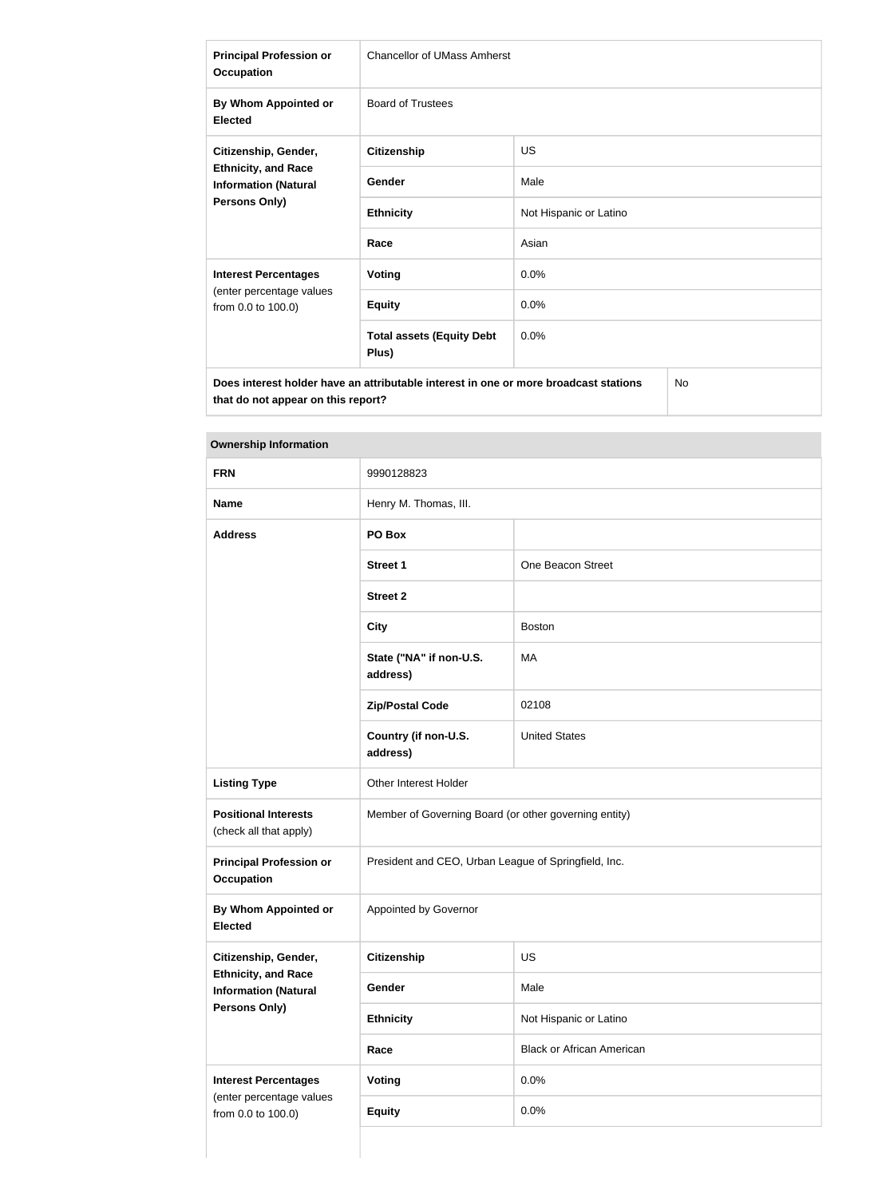| <b>Principal Profession or</b><br><b>Occupation</b>                                                    | <b>Chancellor of UMass Amherst</b>        |                        |  |
|--------------------------------------------------------------------------------------------------------|-------------------------------------------|------------------------|--|
| By Whom Appointed or<br><b>Elected</b>                                                                 | <b>Board of Trustees</b>                  |                        |  |
| Citizenship, Gender,<br><b>Ethnicity, and Race</b><br><b>Information (Natural</b><br>Persons Only)     | <b>Citizenship</b>                        | <b>US</b>              |  |
|                                                                                                        | Gender                                    | Male                   |  |
|                                                                                                        | <b>Ethnicity</b>                          | Not Hispanic or Latino |  |
|                                                                                                        | Race                                      | Asian                  |  |
| <b>Interest Percentages</b>                                                                            | Voting                                    | 0.0%                   |  |
| (enter percentage values<br>from 0.0 to 100.0)                                                         | <b>Equity</b>                             | 0.0%                   |  |
|                                                                                                        | <b>Total assets (Equity Debt</b><br>Plus) | 0.0%                   |  |
| N <sub>o</sub><br>Does interest holder have an attributable interest in one or more broadcast stations |                                           |                        |  |

| <b>FRN</b>                                                | 9990128823                                            |                                  |  |
|-----------------------------------------------------------|-------------------------------------------------------|----------------------------------|--|
| <b>Name</b>                                               | Henry M. Thomas, III.                                 |                                  |  |
| <b>Address</b>                                            | PO Box                                                |                                  |  |
|                                                           | <b>Street 1</b>                                       | One Beacon Street                |  |
|                                                           | <b>Street 2</b>                                       |                                  |  |
|                                                           | <b>City</b>                                           | <b>Boston</b>                    |  |
|                                                           | State ("NA" if non-U.S.<br>address)                   | МA                               |  |
|                                                           | <b>Zip/Postal Code</b>                                | 02108                            |  |
|                                                           | Country (if non-U.S.<br>address)                      | <b>United States</b>             |  |
| <b>Listing Type</b>                                       | Other Interest Holder                                 |                                  |  |
| <b>Positional Interests</b><br>(check all that apply)     | Member of Governing Board (or other governing entity) |                                  |  |
| <b>Principal Profession or</b><br><b>Occupation</b>       | President and CEO, Urban League of Springfield, Inc.  |                                  |  |
| By Whom Appointed or<br><b>Elected</b>                    | Appointed by Governor                                 |                                  |  |
| Citizenship, Gender,                                      | <b>Citizenship</b>                                    | US                               |  |
| <b>Ethnicity, and Race</b><br><b>Information (Natural</b> | Gender                                                | Male                             |  |
| <b>Persons Only)</b>                                      | <b>Ethnicity</b>                                      | Not Hispanic or Latino           |  |
|                                                           | Race                                                  | <b>Black or African American</b> |  |
| <b>Interest Percentages</b>                               | Voting                                                | 0.0%                             |  |
| (enter percentage values<br>from 0.0 to 100.0)            | <b>Equity</b>                                         | 0.0%                             |  |
|                                                           |                                                       |                                  |  |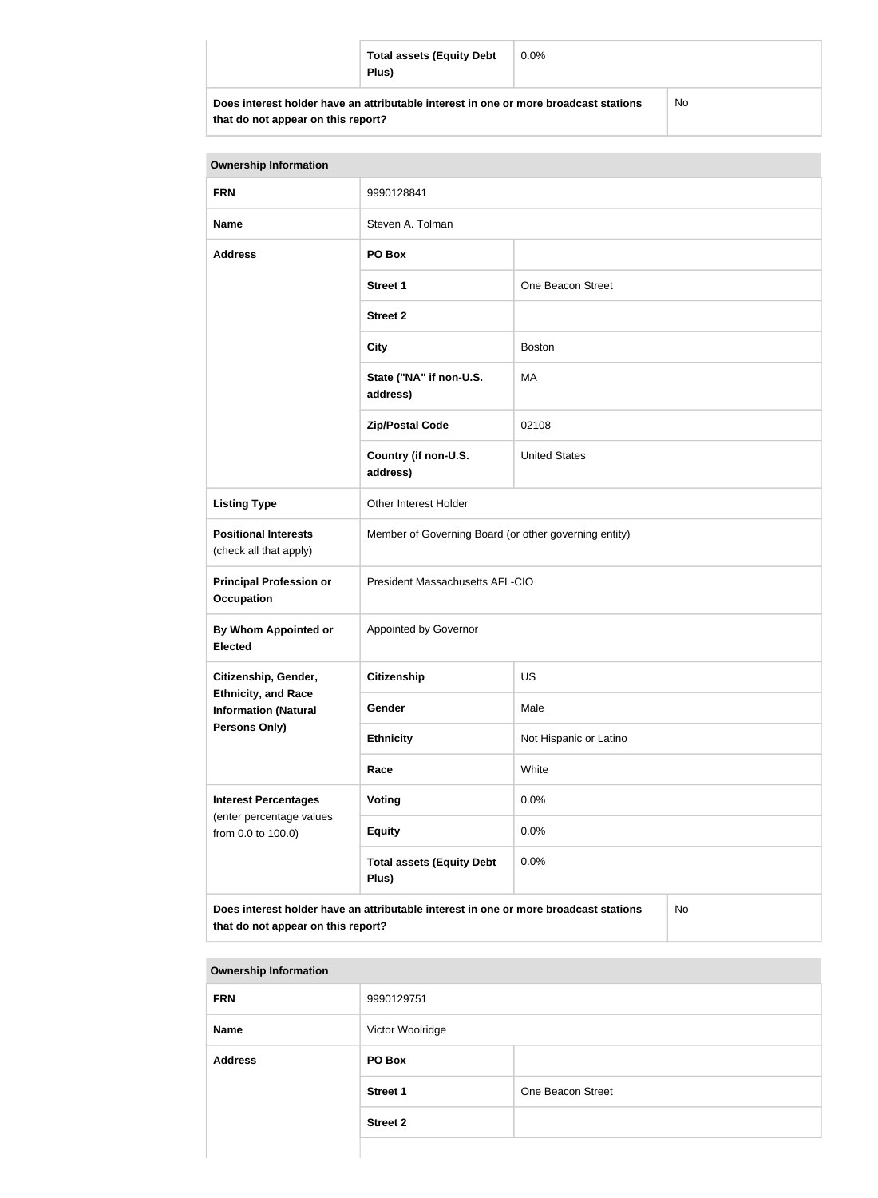| <b>Total assets (Equity Debt</b><br>Plus)                                            | $0.0\%$ |    |
|--------------------------------------------------------------------------------------|---------|----|
| Does interest holder have an attributable interest in one or more broadcast stations |         | No |

| <b>Ownership Information</b>                                                                                                     |                                                       |                        |  |
|----------------------------------------------------------------------------------------------------------------------------------|-------------------------------------------------------|------------------------|--|
| <b>FRN</b>                                                                                                                       | 9990128841                                            |                        |  |
| <b>Name</b>                                                                                                                      | Steven A. Tolman                                      |                        |  |
| <b>Address</b>                                                                                                                   | PO Box                                                |                        |  |
|                                                                                                                                  | <b>Street 1</b>                                       | One Beacon Street      |  |
|                                                                                                                                  | <b>Street 2</b>                                       |                        |  |
|                                                                                                                                  | <b>City</b>                                           | <b>Boston</b>          |  |
|                                                                                                                                  | State ("NA" if non-U.S.<br>address)                   | МA                     |  |
|                                                                                                                                  | <b>Zip/Postal Code</b>                                | 02108                  |  |
|                                                                                                                                  | Country (if non-U.S.<br>address)                      | <b>United States</b>   |  |
| <b>Listing Type</b>                                                                                                              | Other Interest Holder                                 |                        |  |
| <b>Positional Interests</b><br>(check all that apply)                                                                            | Member of Governing Board (or other governing entity) |                        |  |
| <b>Principal Profession or</b><br><b>Occupation</b>                                                                              | President Massachusetts AFL-CIO                       |                        |  |
| By Whom Appointed or<br><b>Elected</b>                                                                                           | Appointed by Governor                                 |                        |  |
| Citizenship, Gender,                                                                                                             | <b>Citizenship</b>                                    | <b>US</b>              |  |
| <b>Ethnicity, and Race</b><br><b>Information (Natural</b>                                                                        | <b>Gender</b>                                         | Male                   |  |
| <b>Persons Only)</b>                                                                                                             | <b>Ethnicity</b>                                      | Not Hispanic or Latino |  |
|                                                                                                                                  | Race                                                  | White                  |  |
| <b>Interest Percentages</b>                                                                                                      | <b>Voting</b>                                         | 0.0%                   |  |
| (enter percentage values<br>from 0.0 to 100.0)                                                                                   | <b>Equity</b>                                         | 0.0%                   |  |
|                                                                                                                                  | <b>Total assets (Equity Debt</b><br>Plus)             | 0.0%                   |  |
| Does interest holder have an attributable interest in one or more broadcast stations<br>No<br>that do not appear on this report? |                                                       |                        |  |

| <b>Ownership Information</b> |                  |                   |  |
|------------------------------|------------------|-------------------|--|
| <b>FRN</b>                   | 9990129751       |                   |  |
| <b>Name</b>                  | Victor Woolridge |                   |  |
| <b>Address</b>               | PO Box           |                   |  |
|                              | <b>Street 1</b>  | One Beacon Street |  |
|                              | <b>Street 2</b>  |                   |  |
|                              |                  |                   |  |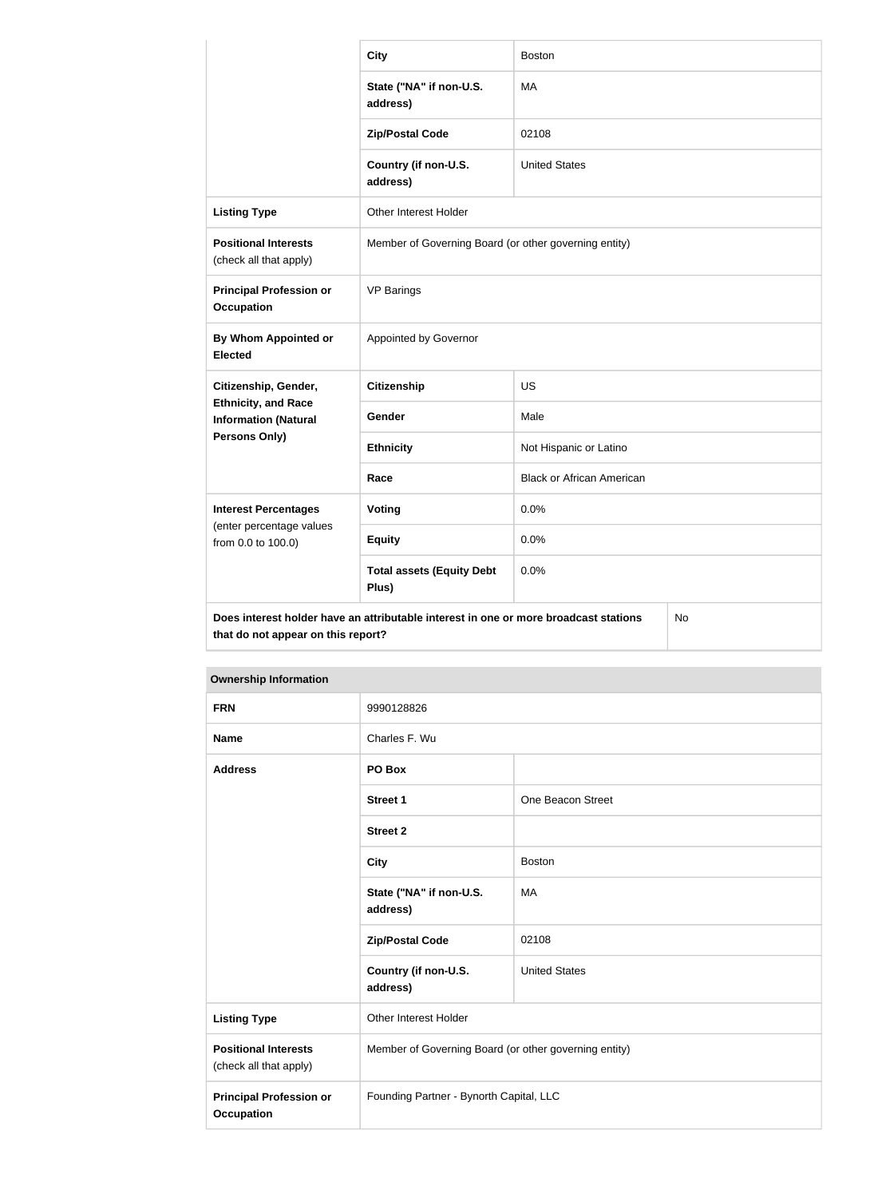|                                                           | <b>City</b>                                                                          | <b>Boston</b>                    |    |
|-----------------------------------------------------------|--------------------------------------------------------------------------------------|----------------------------------|----|
|                                                           | State ("NA" if non-U.S.<br>address)                                                  | MA                               |    |
|                                                           | <b>Zip/Postal Code</b>                                                               | 02108                            |    |
|                                                           | Country (if non-U.S.<br>address)                                                     | <b>United States</b>             |    |
| <b>Listing Type</b>                                       | Other Interest Holder                                                                |                                  |    |
| <b>Positional Interests</b><br>(check all that apply)     | Member of Governing Board (or other governing entity)                                |                                  |    |
| <b>Principal Profession or</b><br><b>Occupation</b>       | <b>VP Barings</b>                                                                    |                                  |    |
| By Whom Appointed or<br><b>Elected</b>                    | Appointed by Governor                                                                |                                  |    |
| Citizenship, Gender,                                      | <b>Citizenship</b>                                                                   | <b>US</b>                        |    |
| <b>Ethnicity, and Race</b><br><b>Information (Natural</b> | Gender                                                                               | Male                             |    |
| Persons Only)                                             | <b>Ethnicity</b>                                                                     | Not Hispanic or Latino           |    |
|                                                           | Race                                                                                 | <b>Black or African American</b> |    |
| <b>Interest Percentages</b>                               | <b>Voting</b>                                                                        | 0.0%                             |    |
| (enter percentage values<br>from 0.0 to 100.0)            | <b>Equity</b>                                                                        | 0.0%                             |    |
|                                                           | <b>Total assets (Equity Debt</b><br>Plus)                                            | 0.0%                             |    |
| that do not appear on this report?                        | Does interest holder have an attributable interest in one or more broadcast stations |                                  | No |

| <b>Ownership Information</b>                          |                                                       |                      |  |
|-------------------------------------------------------|-------------------------------------------------------|----------------------|--|
| <b>FRN</b>                                            | 9990128826                                            |                      |  |
| <b>Name</b>                                           | Charles F. Wu                                         |                      |  |
| <b>Address</b>                                        | PO Box                                                |                      |  |
|                                                       | <b>Street 1</b>                                       | One Beacon Street    |  |
|                                                       | <b>Street 2</b>                                       |                      |  |
|                                                       | <b>City</b>                                           | <b>Boston</b>        |  |
|                                                       | State ("NA" if non-U.S.<br>address)                   | MA                   |  |
|                                                       | <b>Zip/Postal Code</b>                                | 02108                |  |
|                                                       | Country (if non-U.S.<br>address)                      | <b>United States</b> |  |
| <b>Listing Type</b>                                   | <b>Other Interest Holder</b>                          |                      |  |
| <b>Positional Interests</b><br>(check all that apply) | Member of Governing Board (or other governing entity) |                      |  |
| <b>Principal Profession or</b><br><b>Occupation</b>   | Founding Partner - Bynorth Capital, LLC               |                      |  |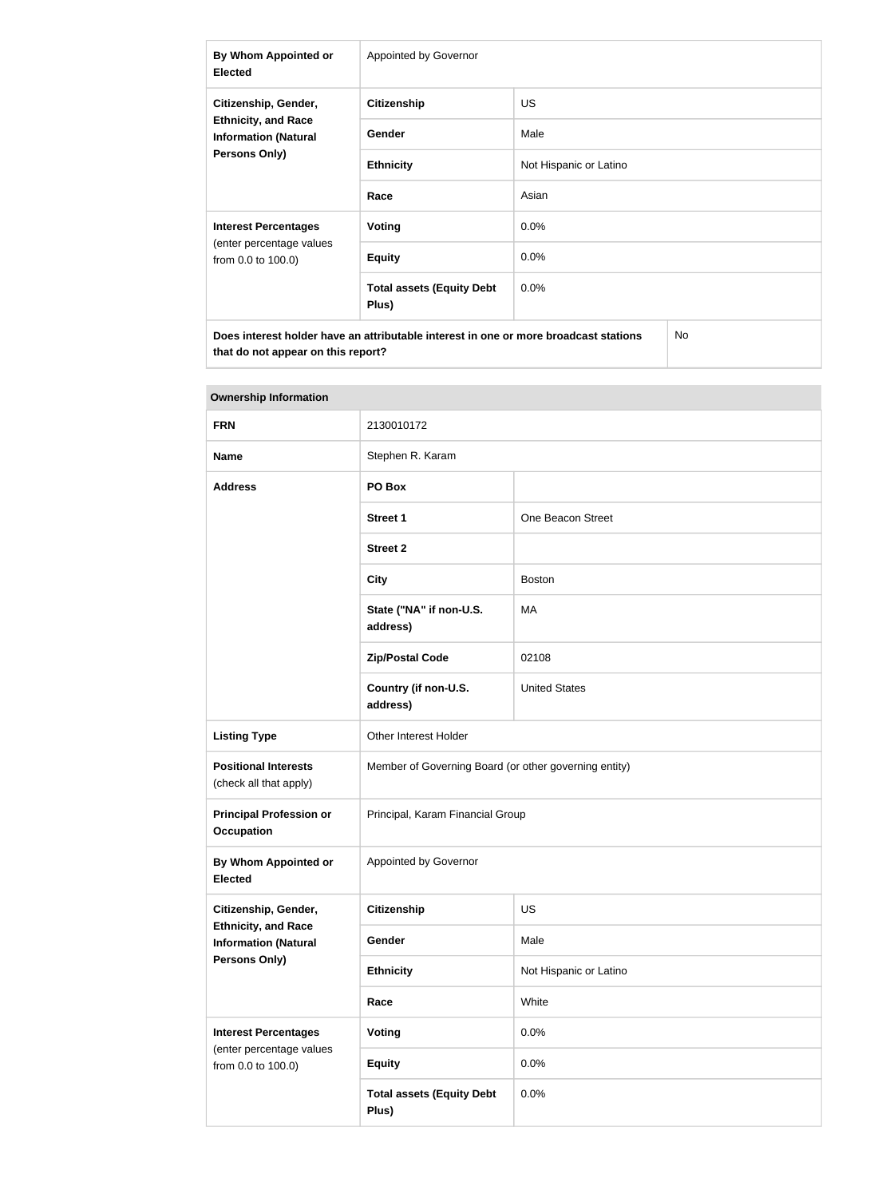| By Whom Appointed or<br><b>Elected</b>                                                                    | Appointed by Governor                     |                        |  |
|-----------------------------------------------------------------------------------------------------------|-------------------------------------------|------------------------|--|
| Citizenship, Gender,<br><b>Ethnicity, and Race</b><br><b>Information (Natural</b><br><b>Persons Only)</b> | <b>Citizenship</b>                        | <b>US</b>              |  |
|                                                                                                           | <b>Gender</b>                             | Male                   |  |
|                                                                                                           | <b>Ethnicity</b>                          | Not Hispanic or Latino |  |
|                                                                                                           | Race                                      | Asian                  |  |
| <b>Interest Percentages</b><br>(enter percentage values<br>from 0.0 to 100.0)                             | Voting                                    | $0.0\%$                |  |
|                                                                                                           | <b>Equity</b>                             | 0.0%                   |  |
|                                                                                                           | <b>Total assets (Equity Debt</b><br>Plus) | $0.0\%$                |  |
| Does interest holder have an attributable interest in one or more broadcast stations<br>No                |                                           |                        |  |

| <b>Ownership Information</b>                                                  |                                                       |                        |  |
|-------------------------------------------------------------------------------|-------------------------------------------------------|------------------------|--|
| <b>FRN</b>                                                                    | 2130010172                                            |                        |  |
| <b>Name</b>                                                                   | Stephen R. Karam                                      |                        |  |
| <b>Address</b>                                                                | PO Box                                                |                        |  |
|                                                                               | <b>Street 1</b>                                       | One Beacon Street      |  |
|                                                                               | <b>Street 2</b>                                       |                        |  |
|                                                                               | <b>City</b>                                           | <b>Boston</b>          |  |
|                                                                               | State ("NA" if non-U.S.<br>address)                   | MA                     |  |
|                                                                               | <b>Zip/Postal Code</b>                                | 02108                  |  |
|                                                                               | Country (if non-U.S.<br>address)                      | <b>United States</b>   |  |
| <b>Listing Type</b>                                                           | Other Interest Holder                                 |                        |  |
| <b>Positional Interests</b><br>(check all that apply)                         | Member of Governing Board (or other governing entity) |                        |  |
| <b>Principal Profession or</b><br><b>Occupation</b>                           | Principal, Karam Financial Group                      |                        |  |
| <b>By Whom Appointed or</b><br><b>Elected</b>                                 | Appointed by Governor                                 |                        |  |
| Citizenship, Gender,                                                          | <b>Citizenship</b>                                    | <b>US</b>              |  |
| <b>Ethnicity, and Race</b><br><b>Information (Natural</b>                     | Gender                                                | Male                   |  |
| Persons Only)                                                                 | <b>Ethnicity</b>                                      | Not Hispanic or Latino |  |
|                                                                               | Race                                                  | White                  |  |
| <b>Interest Percentages</b><br>(enter percentage values<br>from 0.0 to 100.0) | <b>Voting</b>                                         | 0.0%                   |  |
|                                                                               | <b>Equity</b>                                         | 0.0%                   |  |
|                                                                               | <b>Total assets (Equity Debt</b><br>Plus)             | 0.0%                   |  |

## **Tara**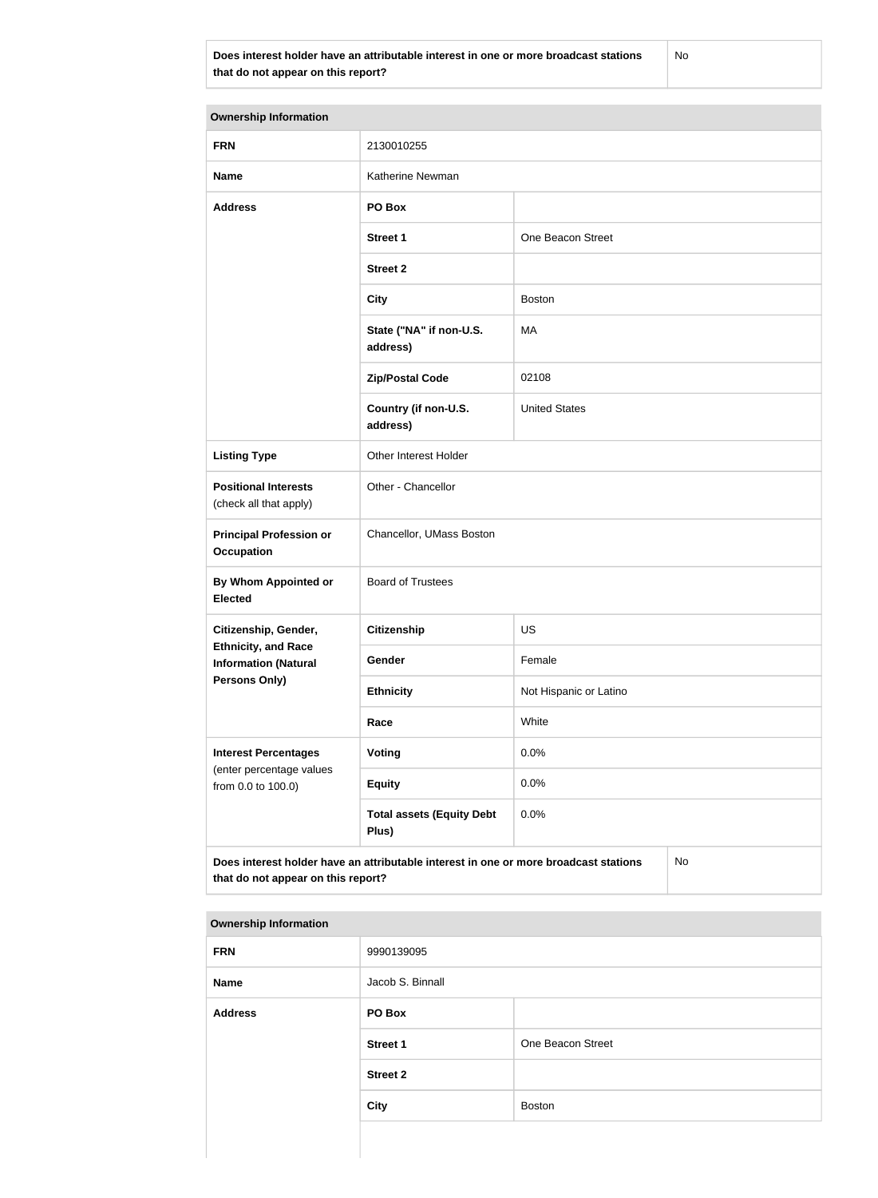**Does interest holder have an attributable interest in one or more broadcast stations that do not appear on this report?**

No

| <b>Ownership Information</b>                                                                                                     |                                           |                        |  |  |
|----------------------------------------------------------------------------------------------------------------------------------|-------------------------------------------|------------------------|--|--|
| <b>FRN</b>                                                                                                                       | 2130010255                                |                        |  |  |
| <b>Name</b>                                                                                                                      | Katherine Newman                          |                        |  |  |
| <b>Address</b>                                                                                                                   | PO Box                                    |                        |  |  |
|                                                                                                                                  | <b>Street 1</b>                           | One Beacon Street      |  |  |
|                                                                                                                                  | <b>Street 2</b>                           |                        |  |  |
|                                                                                                                                  | <b>City</b>                               | <b>Boston</b>          |  |  |
|                                                                                                                                  | State ("NA" if non-U.S.<br>address)       | MA                     |  |  |
|                                                                                                                                  | <b>Zip/Postal Code</b>                    | 02108                  |  |  |
|                                                                                                                                  | Country (if non-U.S.<br>address)          | <b>United States</b>   |  |  |
| <b>Listing Type</b>                                                                                                              | Other Interest Holder                     |                        |  |  |
| <b>Positional Interests</b><br>(check all that apply)                                                                            | Other - Chancellor                        |                        |  |  |
| <b>Principal Profession or</b><br><b>Occupation</b>                                                                              | Chancellor, UMass Boston                  |                        |  |  |
| By Whom Appointed or<br><b>Elected</b>                                                                                           | <b>Board of Trustees</b>                  |                        |  |  |
| Citizenship, Gender,                                                                                                             | Citizenship                               | US                     |  |  |
| <b>Ethnicity, and Race</b><br><b>Information (Natural</b>                                                                        | Gender                                    | Female                 |  |  |
| <b>Persons Only)</b>                                                                                                             | <b>Ethnicity</b>                          | Not Hispanic or Latino |  |  |
|                                                                                                                                  | Race                                      | White                  |  |  |
| <b>Interest Percentages</b>                                                                                                      | <b>Voting</b>                             | 0.0%                   |  |  |
| (enter percentage values<br>from 0.0 to 100.0)                                                                                   | <b>Equity</b>                             | 0.0%                   |  |  |
|                                                                                                                                  | <b>Total assets (Equity Debt</b><br>Plus) | 0.0%                   |  |  |
| Does interest holder have an attributable interest in one or more broadcast stations<br>No<br>that do not appear on this report? |                                           |                        |  |  |

| <b>FRN</b>     | 9990139095       |                   |
|----------------|------------------|-------------------|
| <b>Name</b>    | Jacob S. Binnall |                   |
| <b>Address</b> | PO Box           |                   |
|                | <b>Street 1</b>  | One Beacon Street |
|                | <b>Street 2</b>  |                   |
|                | <b>City</b>      | <b>Boston</b>     |
|                |                  |                   |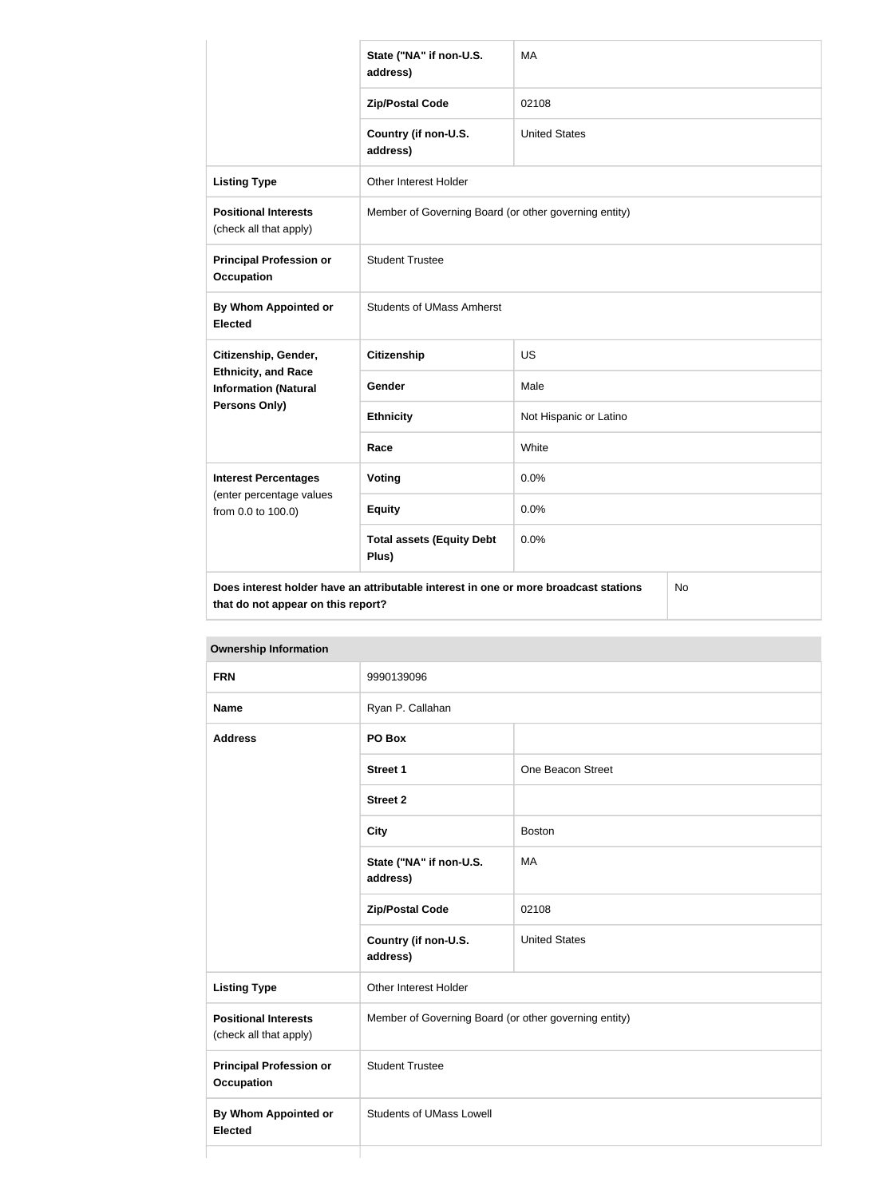|                                                           | State ("NA" if non-U.S.<br>address)                                                  | <b>MA</b>              |           |
|-----------------------------------------------------------|--------------------------------------------------------------------------------------|------------------------|-----------|
|                                                           | <b>Zip/Postal Code</b>                                                               | 02108                  |           |
|                                                           | Country (if non-U.S.<br>address)                                                     | <b>United States</b>   |           |
| <b>Listing Type</b>                                       | Other Interest Holder                                                                |                        |           |
| <b>Positional Interests</b><br>(check all that apply)     | Member of Governing Board (or other governing entity)                                |                        |           |
| <b>Principal Profession or</b><br><b>Occupation</b>       | <b>Student Trustee</b>                                                               |                        |           |
| By Whom Appointed or<br><b>Elected</b>                    | <b>Students of UMass Amherst</b>                                                     |                        |           |
| Citizenship, Gender,                                      | <b>Citizenship</b>                                                                   | US                     |           |
| <b>Ethnicity, and Race</b><br><b>Information (Natural</b> | <b>Gender</b>                                                                        | Male                   |           |
| Persons Only)                                             | <b>Ethnicity</b>                                                                     | Not Hispanic or Latino |           |
|                                                           | Race                                                                                 | White                  |           |
| <b>Interest Percentages</b>                               | Voting                                                                               | 0.0%                   |           |
| (enter percentage values<br>from 0.0 to 100.0)            | <b>Equity</b>                                                                        | 0.0%                   |           |
|                                                           | <b>Total assets (Equity Debt</b><br>Plus)                                            | 0.0%                   |           |
| that do not appear on this report?                        | Does interest holder have an attributable interest in one or more broadcast stations |                        | <b>No</b> |

| <b>FRN</b>                                            | 9990139096                                            |                      |  |
|-------------------------------------------------------|-------------------------------------------------------|----------------------|--|
| <b>Name</b>                                           | Ryan P. Callahan                                      |                      |  |
| <b>Address</b>                                        | PO Box                                                |                      |  |
|                                                       | Street 1                                              | One Beacon Street    |  |
|                                                       | <b>Street 2</b>                                       |                      |  |
|                                                       | <b>City</b>                                           | <b>Boston</b>        |  |
|                                                       | State ("NA" if non-U.S.<br>address)                   | MA                   |  |
|                                                       | <b>Zip/Postal Code</b>                                | 02108                |  |
|                                                       | Country (if non-U.S.<br>address)                      | <b>United States</b> |  |
| <b>Listing Type</b>                                   | Other Interest Holder                                 |                      |  |
| <b>Positional Interests</b><br>(check all that apply) | Member of Governing Board (or other governing entity) |                      |  |
| <b>Principal Profession or</b><br><b>Occupation</b>   | <b>Student Trustee</b>                                |                      |  |
| <b>By Whom Appointed or</b><br><b>Elected</b>         | <b>Students of UMass Lowell</b>                       |                      |  |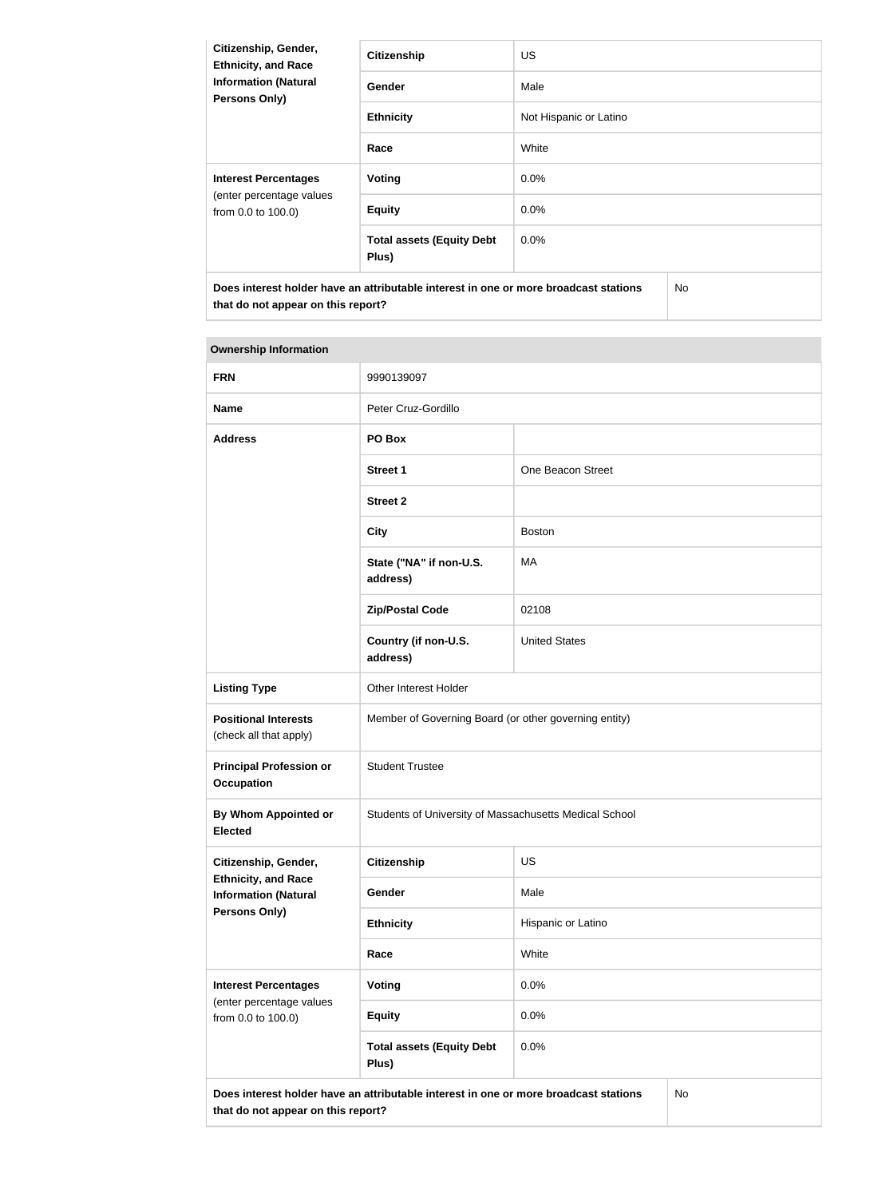| Citizenship, Gender,<br><b>Ethnicity, and Race</b><br><b>Information (Natural</b><br><b>Persons Only)</b> | <b>Citizenship</b>                                                                   | <b>US</b>              |           |
|-----------------------------------------------------------------------------------------------------------|--------------------------------------------------------------------------------------|------------------------|-----------|
|                                                                                                           | <b>Gender</b>                                                                        | Male                   |           |
|                                                                                                           | <b>Ethnicity</b>                                                                     | Not Hispanic or Latino |           |
|                                                                                                           | Race                                                                                 | White                  |           |
| <b>Interest Percentages</b><br>(enter percentage values<br>from 0.0 to 100.0)                             | Voting                                                                               | $0.0\%$                |           |
|                                                                                                           | <b>Equity</b>                                                                        | $0.0\%$                |           |
|                                                                                                           | <b>Total assets (Equity Debt</b><br>Plus)                                            | 0.0%                   |           |
|                                                                                                           | Does interest holder have an attributable interest in one or more broadcast stations |                        | <b>No</b> |

| <b>FRN</b>                                                                                                                              | 9990139097                                             |                      |  |
|-----------------------------------------------------------------------------------------------------------------------------------------|--------------------------------------------------------|----------------------|--|
| <b>Name</b>                                                                                                                             | Peter Cruz-Gordillo                                    |                      |  |
| <b>Address</b>                                                                                                                          | PO Box                                                 |                      |  |
|                                                                                                                                         | <b>Street 1</b>                                        | One Beacon Street    |  |
|                                                                                                                                         | <b>Street 2</b>                                        |                      |  |
|                                                                                                                                         | <b>City</b>                                            | <b>Boston</b>        |  |
|                                                                                                                                         | State ("NA" if non-U.S.<br>address)                    | МA                   |  |
|                                                                                                                                         | <b>Zip/Postal Code</b>                                 | 02108                |  |
|                                                                                                                                         | Country (if non-U.S.<br>address)                       | <b>United States</b> |  |
| <b>Listing Type</b>                                                                                                                     | Other Interest Holder                                  |                      |  |
| <b>Positional Interests</b><br>(check all that apply)                                                                                   | Member of Governing Board (or other governing entity)  |                      |  |
| <b>Principal Profession or</b><br><b>Occupation</b>                                                                                     | <b>Student Trustee</b>                                 |                      |  |
| By Whom Appointed or<br><b>Elected</b>                                                                                                  | Students of University of Massachusetts Medical School |                      |  |
| Citizenship, Gender,                                                                                                                    | <b>Citizenship</b>                                     | <b>US</b>            |  |
| <b>Ethnicity, and Race</b><br><b>Information (Natural</b>                                                                               | Gender                                                 | Male                 |  |
| Persons Only)                                                                                                                           | <b>Ethnicity</b>                                       | Hispanic or Latino   |  |
|                                                                                                                                         | Race                                                   | White                |  |
| <b>Interest Percentages</b>                                                                                                             | <b>Voting</b>                                          | 0.0%                 |  |
| (enter percentage values<br>from 0.0 to 100.0)                                                                                          | <b>Equity</b>                                          | 0.0%                 |  |
|                                                                                                                                         | <b>Total assets (Equity Debt</b><br>Plus)              | 0.0%                 |  |
| Does interest holder have an attributable interest in one or more broadcast stations<br><b>No</b><br>that do not appear on this report? |                                                        |                      |  |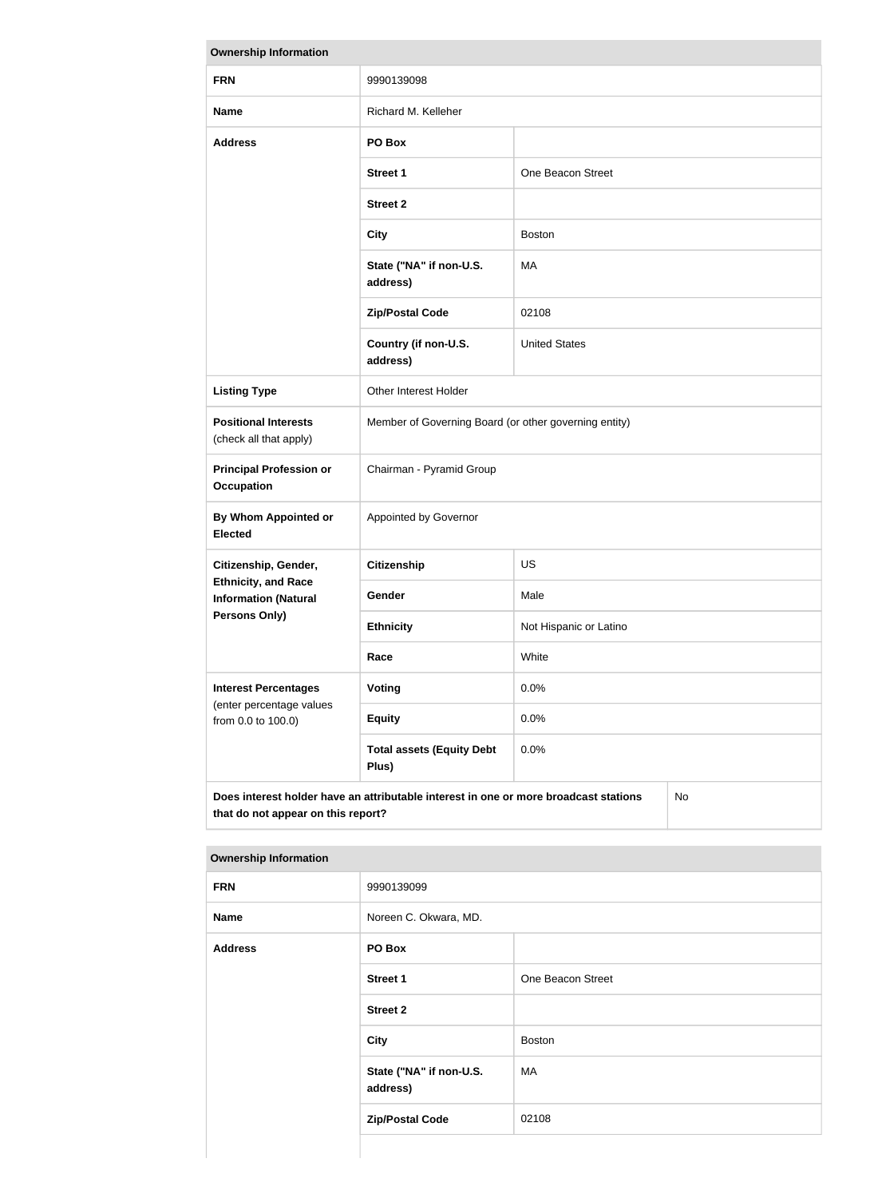| <b>Ownership Information</b>                                                                                                     |                                                       |                        |  |
|----------------------------------------------------------------------------------------------------------------------------------|-------------------------------------------------------|------------------------|--|
| <b>FRN</b>                                                                                                                       | 9990139098                                            |                        |  |
| <b>Name</b>                                                                                                                      | Richard M. Kelleher                                   |                        |  |
| <b>Address</b>                                                                                                                   | PO Box                                                |                        |  |
|                                                                                                                                  | <b>Street 1</b>                                       | One Beacon Street      |  |
|                                                                                                                                  | <b>Street 2</b>                                       |                        |  |
|                                                                                                                                  | <b>City</b>                                           | <b>Boston</b>          |  |
|                                                                                                                                  | State ("NA" if non-U.S.<br>address)                   | MA                     |  |
|                                                                                                                                  | <b>Zip/Postal Code</b>                                | 02108                  |  |
|                                                                                                                                  | Country (if non-U.S.<br>address)                      | <b>United States</b>   |  |
| <b>Listing Type</b>                                                                                                              | Other Interest Holder                                 |                        |  |
| <b>Positional Interests</b><br>(check all that apply)                                                                            | Member of Governing Board (or other governing entity) |                        |  |
| <b>Principal Profession or</b><br><b>Occupation</b>                                                                              | Chairman - Pyramid Group                              |                        |  |
| <b>By Whom Appointed or</b><br><b>Elected</b>                                                                                    | Appointed by Governor                                 |                        |  |
| Citizenship, Gender,                                                                                                             | <b>Citizenship</b>                                    | <b>US</b>              |  |
| <b>Ethnicity, and Race</b><br><b>Information (Natural</b>                                                                        | Gender                                                | Male                   |  |
| Persons Only)                                                                                                                    | <b>Ethnicity</b>                                      | Not Hispanic or Latino |  |
|                                                                                                                                  | Race                                                  | White                  |  |
| <b>Interest Percentages</b><br>(enter percentage values                                                                          | Voting                                                | 0.0%                   |  |
| from 0.0 to 100.0)                                                                                                               | <b>Equity</b>                                         | 0.0%                   |  |
|                                                                                                                                  | <b>Total assets (Equity Debt</b><br>Plus)             | 0.0%                   |  |
| Does interest holder have an attributable interest in one or more broadcast stations<br>No<br>that do not appear on this report? |                                                       |                        |  |

| <b>FRN</b>     | 9990139099                          |                   |  |
|----------------|-------------------------------------|-------------------|--|
| <b>Name</b>    | Noreen C. Okwara, MD.               |                   |  |
| <b>Address</b> | PO Box                              |                   |  |
|                | <b>Street 1</b>                     | One Beacon Street |  |
|                | <b>Street 2</b>                     |                   |  |
|                | <b>City</b>                         | Boston            |  |
|                | State ("NA" if non-U.S.<br>address) | MA                |  |
|                | <b>Zip/Postal Code</b>              | 02108             |  |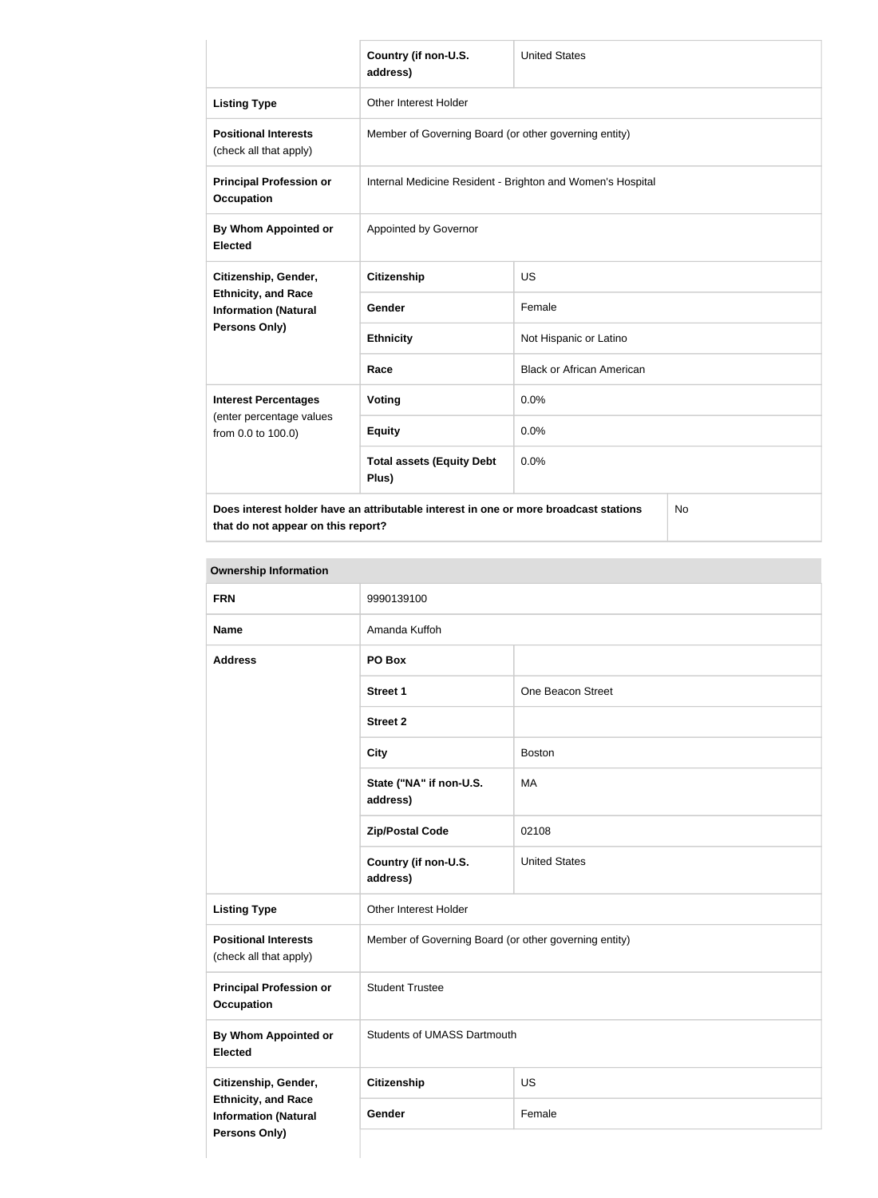|                                                                                            | Country (if non-U.S.<br>address)                           | <b>United States</b>             |  |
|--------------------------------------------------------------------------------------------|------------------------------------------------------------|----------------------------------|--|
| <b>Listing Type</b>                                                                        | Other Interest Holder                                      |                                  |  |
| <b>Positional Interests</b><br>(check all that apply)                                      | Member of Governing Board (or other governing entity)      |                                  |  |
| <b>Principal Profession or</b><br><b>Occupation</b>                                        | Internal Medicine Resident - Brighton and Women's Hospital |                                  |  |
| By Whom Appointed or<br><b>Elected</b>                                                     | Appointed by Governor                                      |                                  |  |
| Citizenship, Gender,                                                                       | <b>Citizenship</b>                                         | <b>US</b>                        |  |
| <b>Ethnicity, and Race</b><br><b>Information (Natural</b>                                  | Gender                                                     | Female                           |  |
| Persons Only)                                                                              | <b>Ethnicity</b>                                           | Not Hispanic or Latino           |  |
|                                                                                            | Race                                                       | <b>Black or African American</b> |  |
| <b>Interest Percentages</b><br>(enter percentage values<br>from 0.0 to 100.0)              | Voting                                                     | 0.0%                             |  |
|                                                                                            | <b>Equity</b>                                              | 0.0%                             |  |
|                                                                                            | <b>Total assets (Equity Debt</b><br>Plus)                  | 0.0%                             |  |
| Does interest holder have an attributable interest in one or more broadcast stations<br>No |                                                            |                                  |  |

**that do not appear on this report?**

No

| <b>FRN</b>                                                                                         | 9990139100                                            |                      |
|----------------------------------------------------------------------------------------------------|-------------------------------------------------------|----------------------|
| <b>Name</b>                                                                                        | Amanda Kuffoh                                         |                      |
| <b>Address</b>                                                                                     | PO Box                                                |                      |
|                                                                                                    | <b>Street 1</b>                                       | One Beacon Street    |
|                                                                                                    | <b>Street 2</b>                                       |                      |
|                                                                                                    | <b>City</b>                                           | <b>Boston</b>        |
|                                                                                                    | State ("NA" if non-U.S.<br>address)                   | MA                   |
|                                                                                                    | <b>Zip/Postal Code</b>                                | 02108                |
|                                                                                                    | Country (if non-U.S.<br>address)                      | <b>United States</b> |
| <b>Listing Type</b>                                                                                | Other Interest Holder                                 |                      |
| <b>Positional Interests</b><br>(check all that apply)                                              | Member of Governing Board (or other governing entity) |                      |
| <b>Principal Profession or</b><br><b>Occupation</b>                                                | <b>Student Trustee</b>                                |                      |
| <b>By Whom Appointed or</b><br><b>Elected</b>                                                      | <b>Students of UMASS Dartmouth</b>                    |                      |
| Citizenship, Gender,<br><b>Ethnicity, and Race</b><br><b>Information (Natural</b><br>Persons Only) | <b>Citizenship</b>                                    | US                   |
|                                                                                                    | Gender                                                | Female               |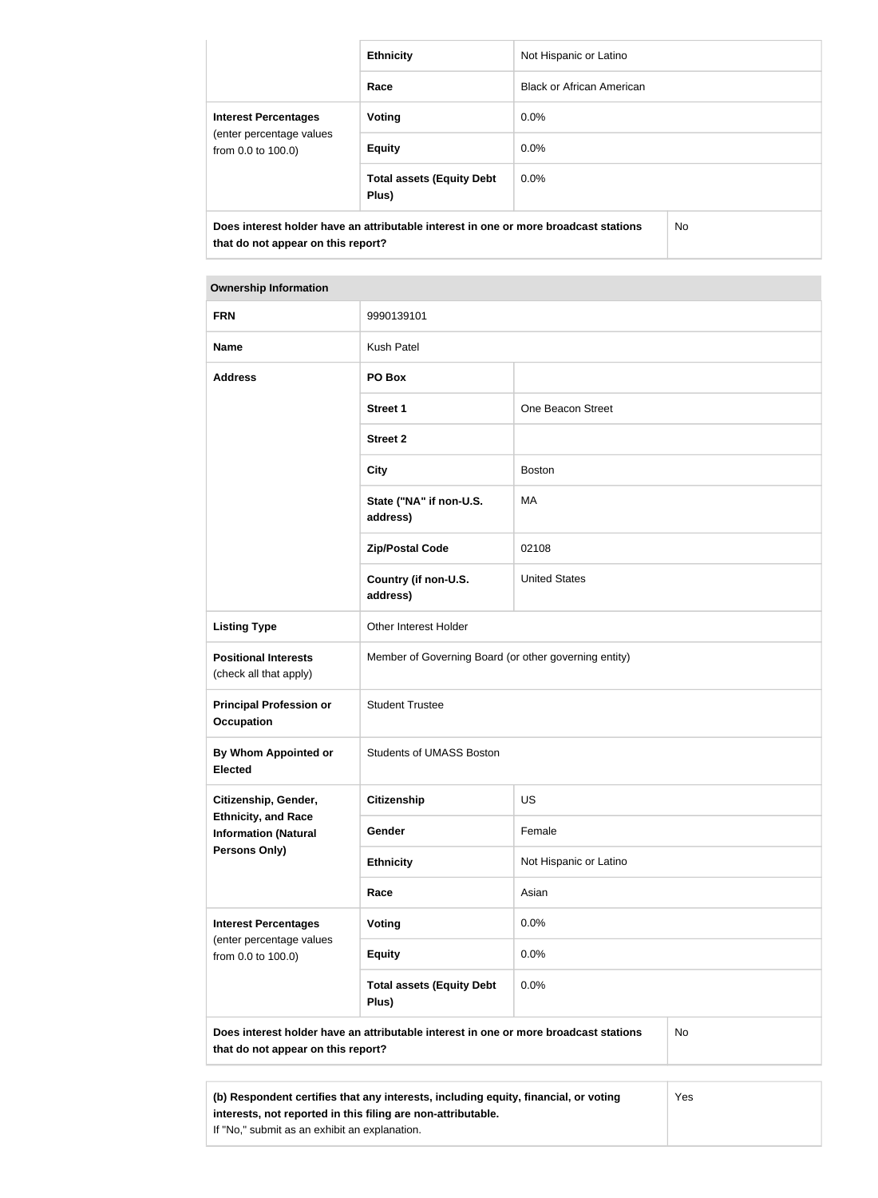|                                                                                      | <b>Ethnicity</b>                          | Not Hispanic or Latino           |     |
|--------------------------------------------------------------------------------------|-------------------------------------------|----------------------------------|-----|
|                                                                                      | Race                                      | <b>Black or African American</b> |     |
| <b>Interest Percentages</b><br>(enter percentage values<br>from 0.0 to 100.0)        | Voting                                    | $0.0\%$                          |     |
|                                                                                      | <b>Equity</b>                             | $0.0\%$                          |     |
|                                                                                      | <b>Total assets (Equity Debt</b><br>Plus) | $0.0\%$                          |     |
| Does interest holder have an attributable interest in one or more broadcast stations |                                           |                                  | No. |
| that do not appear on this report?                                                   |                                           |                                  |     |

| <b>FRN</b>                                                                                                                              | 9990139101                                            |                        |  |
|-----------------------------------------------------------------------------------------------------------------------------------------|-------------------------------------------------------|------------------------|--|
| <b>Name</b>                                                                                                                             | <b>Kush Patel</b>                                     |                        |  |
| <b>Address</b>                                                                                                                          | PO Box                                                |                        |  |
|                                                                                                                                         | <b>Street 1</b>                                       | One Beacon Street      |  |
|                                                                                                                                         | <b>Street 2</b>                                       |                        |  |
|                                                                                                                                         | <b>City</b>                                           | <b>Boston</b>          |  |
|                                                                                                                                         | State ("NA" if non-U.S.<br>address)                   | MA                     |  |
|                                                                                                                                         | <b>Zip/Postal Code</b>                                | 02108                  |  |
|                                                                                                                                         | Country (if non-U.S.<br>address)                      | <b>United States</b>   |  |
| <b>Listing Type</b>                                                                                                                     | Other Interest Holder                                 |                        |  |
| <b>Positional Interests</b><br>(check all that apply)                                                                                   | Member of Governing Board (or other governing entity) |                        |  |
| <b>Principal Profession or</b><br><b>Occupation</b>                                                                                     | <b>Student Trustee</b>                                |                        |  |
| <b>By Whom Appointed or</b><br><b>Elected</b>                                                                                           | <b>Students of UMASS Boston</b>                       |                        |  |
| Citizenship, Gender,                                                                                                                    | <b>Citizenship</b>                                    | US                     |  |
| <b>Ethnicity, and Race</b><br><b>Information (Natural</b>                                                                               | Gender                                                | Female                 |  |
| <b>Persons Only)</b>                                                                                                                    | <b>Ethnicity</b>                                      | Not Hispanic or Latino |  |
|                                                                                                                                         | Race                                                  | Asian                  |  |
| <b>Interest Percentages</b><br>(enter percentage values<br>from 0.0 to 100.0)                                                           | Voting                                                | 0.0%                   |  |
|                                                                                                                                         | <b>Equity</b>                                         | 0.0%                   |  |
|                                                                                                                                         | <b>Total assets (Equity Debt</b><br>Plus)             | 0.0%                   |  |
| Does interest holder have an attributable interest in one or more broadcast stations<br><b>No</b><br>that do not appear on this report? |                                                       |                        |  |
|                                                                                                                                         |                                                       |                        |  |

**(b) Respondent certifies that any interests, including equity, financial, or voting interests, not reported in this filing are non-attributable.** If "No," submit as an exhibit an explanation. Yes